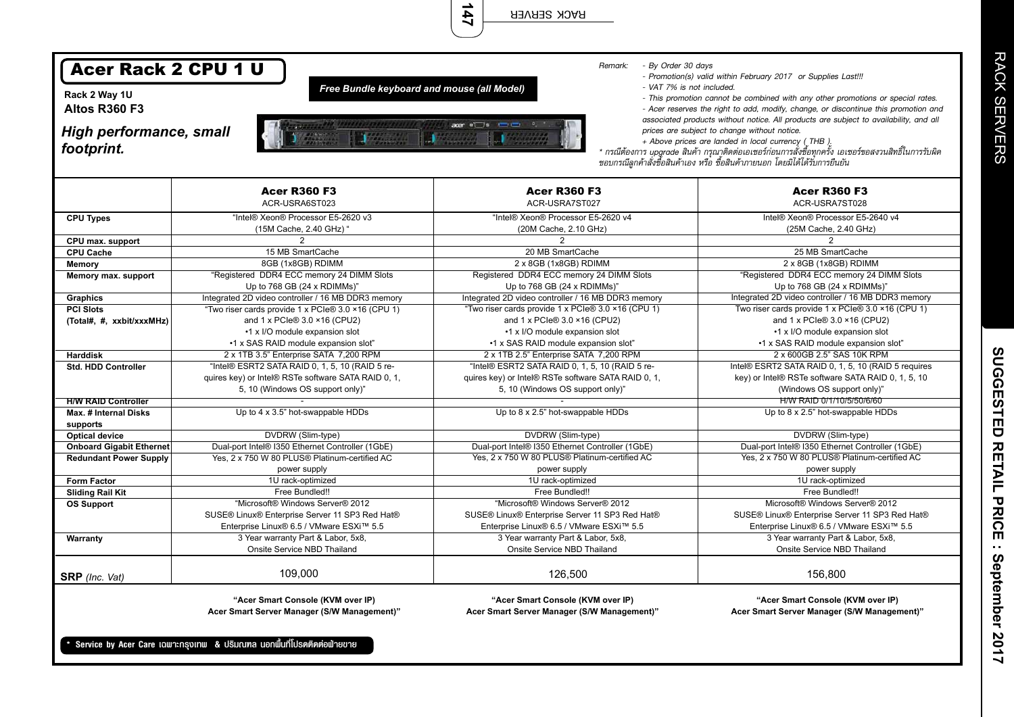| <b>Acer Rack 2 CPU 1 U</b><br>- By Order 30 days<br>Remark:<br>- Promotion(s) valid within February 2017 or Supplies Last!!!<br>Free Bundle keyboard and mouse (all Model)<br>- VAT 7% is not included.<br>Rack 2 Way 1U<br>- This promotion cannot be combined with any other promotions or special rates.<br><b>Altos R360 F3</b><br>- Acer reserves the right to add, modify, change, or discontinue this promotion and<br>associated products without notice. All products are subject to availability, and all<br>$a$ $a$ $a$ $b$ $c$<br><b>High performance, small</b><br>prices are subject to change without notice.<br>+ Above prices are landed in local currency (THB).<br>footprint.<br>* กรณีต้องการ upgrade สินค้า กรุณาติดต่อเอเซอร์ก่อนการสั่งซื้อทุกครั้ง เอเซอร์ขอสงวนสิทธิ์ในการรับผิด<br>ชอบกรณีลูกค้าสั่งซื้อสินค้าเอง หรือ ซื้อสินค้าภายนอก โดยมิได้ได้รับการยืนยัน<br><b>Acer R360 F3</b><br><b>Acer R360 F3</b><br><b>Acer R360 F3</b><br>ACR-USRA6ST023<br>ACR-USRA7ST027<br>ACR-USRA7ST028<br>"Intel® Xeon® Processor E5-2620 v3<br>"Intel® Xeon® Processor E5-2620 v4<br>Intel® Xeon® Processor E5-2640 v4<br><b>CPU Types</b><br>(15M Cache, 2.40 GHz) "<br>(20M Cache, 2.10 GHz)<br>(25M Cache, 2.40 GHz)<br>CPU max. support<br>$\overline{2}$<br>2<br>$\overline{2}$<br>15 MB SmartCache<br>20 MB SmartCache<br><b>CPU Cache</b><br>25 MB SmartCache<br>8GB (1x8GB) RDIMM<br>2 x 8GB (1x8GB) RDIMM<br>2 x 8GB (1x8GB) RDIMM<br>Memory<br>"Registered DDR4 ECC memory 24 DIMM Slots<br>"Registered DDR4 ECC memory 24 DIMM Slots<br>Registered DDR4 ECC memory 24 DIMM Slots<br>Memory max. support<br>Up to 768 GB (24 x RDIMMs)"<br>Up to 768 GB (24 x RDIMMs)"<br>Up to 768 GB (24 x RDIMMs)"<br>Integrated 2D video controller / 16 MB DDR3 memory<br>Integrated 2D video controller / 16 MB DDR3 memory<br>Integrated 2D video controller / 16 MB DDR3 memory<br><b>Graphics</b><br>"Two riser cards provide 1 x PCIe® 3.0 ×16 (CPU 1)<br>"Two riser cards provide 1 x PCIe® 3.0 ×16 (CPU 1)<br>Two riser cards provide 1 x PCIe® 3.0 ×16 (CPU 1)<br><b>PCI Slots</b><br>and 1 x PCle® 3.0 ×16 (CPU2)<br>and 1 x PCIe® 3.0 ×16 (CPU2)<br>and 1 x PCle® 3.0 ×16 (CPU2)<br>(Total#, #, xxbit/xxxMHz)<br>•1 x I/O module expansion slot<br>•1 x I/O module expansion slot<br>•1 x I/O module expansion slot<br>•1 x SAS RAID module expansion slot"<br>•1 x SAS RAID module expansion slot"<br>•1 x SAS RAID module expansion slot"<br>2 x 1TB 3.5" Enterprise SATA 7,200 RPM<br>2 x 1TB 2.5" Enterprise SATA 7,200 RPM<br>2 x 600GB 2.5" SAS 10K RPM<br><b>Harddisk</b><br>"Intel® ESRT2 SATA RAID 0, 1, 5, 10 (RAID 5 re-<br>"Intel® ESRT2 SATA RAID 0, 1, 5, 10 (RAID 5 re-<br>Intel® ESRT2 SATA RAID 0, 1, 5, 10 (RAID 5 requires<br>Std. HDD Controller<br>quires key) or Intel® RSTe software SATA RAID 0, 1,<br>quires key) or Intel® RSTe software SATA RAID 0, 1,<br>key) or Intel® RSTe software SATA RAID 0, 1, 5, 10<br>5, 10 (Windows OS support only)"<br>5, 10 (Windows OS support only)"<br>(Windows OS support only)"<br>H/W RAID 0/1/10/5/50/6/60<br><b>H/W RAID Controller</b><br>Up to 4 x 3.5" hot-swappable HDDs<br>Up to 8 x 2.5" hot-swappable HDDs<br>Up to 8 x 2.5" hot-swappable HDDs<br><b>Max. # Internal Disks</b><br>supports<br>DVDRW (Slim-type)<br>DVDRW (Slim-type)<br>DVDRW (Slim-type)<br><b>Optical device</b><br>Dual-port Intel® I350 Ethernet Controller (1GbE)<br>Dual-port Intel® I350 Ethernet Controller (1GbE)<br>Dual-port Intel® I350 Ethernet Controller (1GbE)<br><b>Onboard Gigabit Ethernet</b><br>Yes, 2 x 750 W 80 PLUS® Platinum-certified AC<br>Yes, 2 x 750 W 80 PLUS® Platinum-certified AC<br>Yes, 2 x 750 W 80 PLUS® Platinum-certified AC<br><b>Redundant Power Supply</b><br>power supply<br>power supply<br>power supply<br>Form Factor<br>1U rack-optimized<br>1U rack-optimized<br>1U rack-optimized<br>Free Bundled!!<br>Free Bundled!!<br>Free Bundled!!<br><b>Sliding Rail Kit</b><br>"Microsoft® Windows Server® 2012<br>Microsoft® Windows Server® 2012<br>"Microsoft® Windows Server® 2012<br><b>OS Support</b><br>SUSE® Linux® Enterprise Server 11 SP3 Red Hat®<br>SUSE® Linux® Enterprise Server 11 SP3 Red Hat®<br>SUSE® Linux® Enterprise Server 11 SP3 Red Hat®<br>Enterprise Linux® 6.5 / VMware ESXi™ 5.5<br>Enterprise Linux® 6.5 / VMware ESXi™ 5.5<br>Enterprise Linux® 6.5 / VMware ESXi™ 5.5<br>3 Year warranty Part & Labor, 5x8,<br>3 Year warranty Part & Labor, 5x8,<br>3 Year warranty Part & Labor, 5x8,<br>Warranty<br>Onsite Service NBD Thailand<br>Onsite Service NBD Thailand<br>Onsite Service NBD Thailand<br>109,000<br>126,500<br>156,800<br><b>SRP</b> (Inc. Vat)<br>"Acer Smart Console (KVM over IP)<br>"Acer Smart Console (KVM over IP)<br>"Acer Smart Console (KVM over IP)<br>Acer Smart Server Manager (S/W Management)"<br>Acer Smart Server Manager (S/W Management)"<br>Acer Smart Server Manager (S/W Management)"<br>Service by Acer Care เฉพาะกรุงเทพ & ปริมณฑล นอกพื้นที่โปรดติดต่อฟ่ายขาย |  |  |  |  |  |  |
|----------------------------------------------------------------------------------------------------------------------------------------------------------------------------------------------------------------------------------------------------------------------------------------------------------------------------------------------------------------------------------------------------------------------------------------------------------------------------------------------------------------------------------------------------------------------------------------------------------------------------------------------------------------------------------------------------------------------------------------------------------------------------------------------------------------------------------------------------------------------------------------------------------------------------------------------------------------------------------------------------------------------------------------------------------------------------------------------------------------------------------------------------------------------------------------------------------------------------------------------------------------------------------------------------------------------------------------------------------------------------------------------------------------------------------------------------------------------------------------------------------------------------------------------------------------------------------------------------------------------------------------------------------------------------------------------------------------------------------------------------------------------------------------------------------------------------------------------------------------------------------------------------------------------------------------------------------------------------------------------------------------------------------------------------------------------------------------------------------------------------------------------------------------------------------------------------------------------------------------------------------------------------------------------------------------------------------------------------------------------------------------------------------------------------------------------------------------------------------------------------------------------------------------------------------------------------------------------------------------------------------------------------------------------------------------------------------------------------------------------------------------------------------------------------------------------------------------------------------------------------------------------------------------------------------------------------------------------------------------------------------------------------------------------------------------------------------------------------------------------------------------------------------------------------------------------------------------------------------------------------------------------------------------------------------------------------------------------------------------------------------------------------------------------------------------------------------------------------------------------------------------------------------------------------------------------------------------------------------------------------------------------------------------------------------------------------------------------------------------------------------------------------------------------------------------------------------------------------------------------------------------------------------------------------------------------------------------------------------------------------------------------------------------------------------------------------------------------------------------------------------------------------------------------------------------------------------------------------------------------------------------------------------------------------------------------------------------------------------------------------------------------------------------------------------------------------------------------------------------------------------------------------------------------------------------------------------------------------------------------------------------------------------------------------------------------------------------------------------------------------------------------------------------------------------------------------------------------------------------------------------------------------------------------------------------------------------------------------------------------------------------------------------------------|--|--|--|--|--|--|
|                                                                                                                                                                                                                                                                                                                                                                                                                                                                                                                                                                                                                                                                                                                                                                                                                                                                                                                                                                                                                                                                                                                                                                                                                                                                                                                                                                                                                                                                                                                                                                                                                                                                                                                                                                                                                                                                                                                                                                                                                                                                                                                                                                                                                                                                                                                                                                                                                                                                                                                                                                                                                                                                                                                                                                                                                                                                                                                                                                                                                                                                                                                                                                                                                                                                                                                                                                                                                                                                                                                                                                                                                                                                                                                                                                                                                                                                                                                                                                                                                                                                                                                                                                                                                                                                                                                                                                                                                                                                                                                                                                                                                                                                                                                                                                                                                                                                                                                                                                                                                                              |  |  |  |  |  |  |
|                                                                                                                                                                                                                                                                                                                                                                                                                                                                                                                                                                                                                                                                                                                                                                                                                                                                                                                                                                                                                                                                                                                                                                                                                                                                                                                                                                                                                                                                                                                                                                                                                                                                                                                                                                                                                                                                                                                                                                                                                                                                                                                                                                                                                                                                                                                                                                                                                                                                                                                                                                                                                                                                                                                                                                                                                                                                                                                                                                                                                                                                                                                                                                                                                                                                                                                                                                                                                                                                                                                                                                                                                                                                                                                                                                                                                                                                                                                                                                                                                                                                                                                                                                                                                                                                                                                                                                                                                                                                                                                                                                                                                                                                                                                                                                                                                                                                                                                                                                                                                                              |  |  |  |  |  |  |
|                                                                                                                                                                                                                                                                                                                                                                                                                                                                                                                                                                                                                                                                                                                                                                                                                                                                                                                                                                                                                                                                                                                                                                                                                                                                                                                                                                                                                                                                                                                                                                                                                                                                                                                                                                                                                                                                                                                                                                                                                                                                                                                                                                                                                                                                                                                                                                                                                                                                                                                                                                                                                                                                                                                                                                                                                                                                                                                                                                                                                                                                                                                                                                                                                                                                                                                                                                                                                                                                                                                                                                                                                                                                                                                                                                                                                                                                                                                                                                                                                                                                                                                                                                                                                                                                                                                                                                                                                                                                                                                                                                                                                                                                                                                                                                                                                                                                                                                                                                                                                                              |  |  |  |  |  |  |
|                                                                                                                                                                                                                                                                                                                                                                                                                                                                                                                                                                                                                                                                                                                                                                                                                                                                                                                                                                                                                                                                                                                                                                                                                                                                                                                                                                                                                                                                                                                                                                                                                                                                                                                                                                                                                                                                                                                                                                                                                                                                                                                                                                                                                                                                                                                                                                                                                                                                                                                                                                                                                                                                                                                                                                                                                                                                                                                                                                                                                                                                                                                                                                                                                                                                                                                                                                                                                                                                                                                                                                                                                                                                                                                                                                                                                                                                                                                                                                                                                                                                                                                                                                                                                                                                                                                                                                                                                                                                                                                                                                                                                                                                                                                                                                                                                                                                                                                                                                                                                                              |  |  |  |  |  |  |
|                                                                                                                                                                                                                                                                                                                                                                                                                                                                                                                                                                                                                                                                                                                                                                                                                                                                                                                                                                                                                                                                                                                                                                                                                                                                                                                                                                                                                                                                                                                                                                                                                                                                                                                                                                                                                                                                                                                                                                                                                                                                                                                                                                                                                                                                                                                                                                                                                                                                                                                                                                                                                                                                                                                                                                                                                                                                                                                                                                                                                                                                                                                                                                                                                                                                                                                                                                                                                                                                                                                                                                                                                                                                                                                                                                                                                                                                                                                                                                                                                                                                                                                                                                                                                                                                                                                                                                                                                                                                                                                                                                                                                                                                                                                                                                                                                                                                                                                                                                                                                                              |  |  |  |  |  |  |
|                                                                                                                                                                                                                                                                                                                                                                                                                                                                                                                                                                                                                                                                                                                                                                                                                                                                                                                                                                                                                                                                                                                                                                                                                                                                                                                                                                                                                                                                                                                                                                                                                                                                                                                                                                                                                                                                                                                                                                                                                                                                                                                                                                                                                                                                                                                                                                                                                                                                                                                                                                                                                                                                                                                                                                                                                                                                                                                                                                                                                                                                                                                                                                                                                                                                                                                                                                                                                                                                                                                                                                                                                                                                                                                                                                                                                                                                                                                                                                                                                                                                                                                                                                                                                                                                                                                                                                                                                                                                                                                                                                                                                                                                                                                                                                                                                                                                                                                                                                                                                                              |  |  |  |  |  |  |
|                                                                                                                                                                                                                                                                                                                                                                                                                                                                                                                                                                                                                                                                                                                                                                                                                                                                                                                                                                                                                                                                                                                                                                                                                                                                                                                                                                                                                                                                                                                                                                                                                                                                                                                                                                                                                                                                                                                                                                                                                                                                                                                                                                                                                                                                                                                                                                                                                                                                                                                                                                                                                                                                                                                                                                                                                                                                                                                                                                                                                                                                                                                                                                                                                                                                                                                                                                                                                                                                                                                                                                                                                                                                                                                                                                                                                                                                                                                                                                                                                                                                                                                                                                                                                                                                                                                                                                                                                                                                                                                                                                                                                                                                                                                                                                                                                                                                                                                                                                                                                                              |  |  |  |  |  |  |
|                                                                                                                                                                                                                                                                                                                                                                                                                                                                                                                                                                                                                                                                                                                                                                                                                                                                                                                                                                                                                                                                                                                                                                                                                                                                                                                                                                                                                                                                                                                                                                                                                                                                                                                                                                                                                                                                                                                                                                                                                                                                                                                                                                                                                                                                                                                                                                                                                                                                                                                                                                                                                                                                                                                                                                                                                                                                                                                                                                                                                                                                                                                                                                                                                                                                                                                                                                                                                                                                                                                                                                                                                                                                                                                                                                                                                                                                                                                                                                                                                                                                                                                                                                                                                                                                                                                                                                                                                                                                                                                                                                                                                                                                                                                                                                                                                                                                                                                                                                                                                                              |  |  |  |  |  |  |
|                                                                                                                                                                                                                                                                                                                                                                                                                                                                                                                                                                                                                                                                                                                                                                                                                                                                                                                                                                                                                                                                                                                                                                                                                                                                                                                                                                                                                                                                                                                                                                                                                                                                                                                                                                                                                                                                                                                                                                                                                                                                                                                                                                                                                                                                                                                                                                                                                                                                                                                                                                                                                                                                                                                                                                                                                                                                                                                                                                                                                                                                                                                                                                                                                                                                                                                                                                                                                                                                                                                                                                                                                                                                                                                                                                                                                                                                                                                                                                                                                                                                                                                                                                                                                                                                                                                                                                                                                                                                                                                                                                                                                                                                                                                                                                                                                                                                                                                                                                                                                                              |  |  |  |  |  |  |
|                                                                                                                                                                                                                                                                                                                                                                                                                                                                                                                                                                                                                                                                                                                                                                                                                                                                                                                                                                                                                                                                                                                                                                                                                                                                                                                                                                                                                                                                                                                                                                                                                                                                                                                                                                                                                                                                                                                                                                                                                                                                                                                                                                                                                                                                                                                                                                                                                                                                                                                                                                                                                                                                                                                                                                                                                                                                                                                                                                                                                                                                                                                                                                                                                                                                                                                                                                                                                                                                                                                                                                                                                                                                                                                                                                                                                                                                                                                                                                                                                                                                                                                                                                                                                                                                                                                                                                                                                                                                                                                                                                                                                                                                                                                                                                                                                                                                                                                                                                                                                                              |  |  |  |  |  |  |
|                                                                                                                                                                                                                                                                                                                                                                                                                                                                                                                                                                                                                                                                                                                                                                                                                                                                                                                                                                                                                                                                                                                                                                                                                                                                                                                                                                                                                                                                                                                                                                                                                                                                                                                                                                                                                                                                                                                                                                                                                                                                                                                                                                                                                                                                                                                                                                                                                                                                                                                                                                                                                                                                                                                                                                                                                                                                                                                                                                                                                                                                                                                                                                                                                                                                                                                                                                                                                                                                                                                                                                                                                                                                                                                                                                                                                                                                                                                                                                                                                                                                                                                                                                                                                                                                                                                                                                                                                                                                                                                                                                                                                                                                                                                                                                                                                                                                                                                                                                                                                                              |  |  |  |  |  |  |
|                                                                                                                                                                                                                                                                                                                                                                                                                                                                                                                                                                                                                                                                                                                                                                                                                                                                                                                                                                                                                                                                                                                                                                                                                                                                                                                                                                                                                                                                                                                                                                                                                                                                                                                                                                                                                                                                                                                                                                                                                                                                                                                                                                                                                                                                                                                                                                                                                                                                                                                                                                                                                                                                                                                                                                                                                                                                                                                                                                                                                                                                                                                                                                                                                                                                                                                                                                                                                                                                                                                                                                                                                                                                                                                                                                                                                                                                                                                                                                                                                                                                                                                                                                                                                                                                                                                                                                                                                                                                                                                                                                                                                                                                                                                                                                                                                                                                                                                                                                                                                                              |  |  |  |  |  |  |
|                                                                                                                                                                                                                                                                                                                                                                                                                                                                                                                                                                                                                                                                                                                                                                                                                                                                                                                                                                                                                                                                                                                                                                                                                                                                                                                                                                                                                                                                                                                                                                                                                                                                                                                                                                                                                                                                                                                                                                                                                                                                                                                                                                                                                                                                                                                                                                                                                                                                                                                                                                                                                                                                                                                                                                                                                                                                                                                                                                                                                                                                                                                                                                                                                                                                                                                                                                                                                                                                                                                                                                                                                                                                                                                                                                                                                                                                                                                                                                                                                                                                                                                                                                                                                                                                                                                                                                                                                                                                                                                                                                                                                                                                                                                                                                                                                                                                                                                                                                                                                                              |  |  |  |  |  |  |
|                                                                                                                                                                                                                                                                                                                                                                                                                                                                                                                                                                                                                                                                                                                                                                                                                                                                                                                                                                                                                                                                                                                                                                                                                                                                                                                                                                                                                                                                                                                                                                                                                                                                                                                                                                                                                                                                                                                                                                                                                                                                                                                                                                                                                                                                                                                                                                                                                                                                                                                                                                                                                                                                                                                                                                                                                                                                                                                                                                                                                                                                                                                                                                                                                                                                                                                                                                                                                                                                                                                                                                                                                                                                                                                                                                                                                                                                                                                                                                                                                                                                                                                                                                                                                                                                                                                                                                                                                                                                                                                                                                                                                                                                                                                                                                                                                                                                                                                                                                                                                                              |  |  |  |  |  |  |
|                                                                                                                                                                                                                                                                                                                                                                                                                                                                                                                                                                                                                                                                                                                                                                                                                                                                                                                                                                                                                                                                                                                                                                                                                                                                                                                                                                                                                                                                                                                                                                                                                                                                                                                                                                                                                                                                                                                                                                                                                                                                                                                                                                                                                                                                                                                                                                                                                                                                                                                                                                                                                                                                                                                                                                                                                                                                                                                                                                                                                                                                                                                                                                                                                                                                                                                                                                                                                                                                                                                                                                                                                                                                                                                                                                                                                                                                                                                                                                                                                                                                                                                                                                                                                                                                                                                                                                                                                                                                                                                                                                                                                                                                                                                                                                                                                                                                                                                                                                                                                                              |  |  |  |  |  |  |
|                                                                                                                                                                                                                                                                                                                                                                                                                                                                                                                                                                                                                                                                                                                                                                                                                                                                                                                                                                                                                                                                                                                                                                                                                                                                                                                                                                                                                                                                                                                                                                                                                                                                                                                                                                                                                                                                                                                                                                                                                                                                                                                                                                                                                                                                                                                                                                                                                                                                                                                                                                                                                                                                                                                                                                                                                                                                                                                                                                                                                                                                                                                                                                                                                                                                                                                                                                                                                                                                                                                                                                                                                                                                                                                                                                                                                                                                                                                                                                                                                                                                                                                                                                                                                                                                                                                                                                                                                                                                                                                                                                                                                                                                                                                                                                                                                                                                                                                                                                                                                                              |  |  |  |  |  |  |
|                                                                                                                                                                                                                                                                                                                                                                                                                                                                                                                                                                                                                                                                                                                                                                                                                                                                                                                                                                                                                                                                                                                                                                                                                                                                                                                                                                                                                                                                                                                                                                                                                                                                                                                                                                                                                                                                                                                                                                                                                                                                                                                                                                                                                                                                                                                                                                                                                                                                                                                                                                                                                                                                                                                                                                                                                                                                                                                                                                                                                                                                                                                                                                                                                                                                                                                                                                                                                                                                                                                                                                                                                                                                                                                                                                                                                                                                                                                                                                                                                                                                                                                                                                                                                                                                                                                                                                                                                                                                                                                                                                                                                                                                                                                                                                                                                                                                                                                                                                                                                                              |  |  |  |  |  |  |
|                                                                                                                                                                                                                                                                                                                                                                                                                                                                                                                                                                                                                                                                                                                                                                                                                                                                                                                                                                                                                                                                                                                                                                                                                                                                                                                                                                                                                                                                                                                                                                                                                                                                                                                                                                                                                                                                                                                                                                                                                                                                                                                                                                                                                                                                                                                                                                                                                                                                                                                                                                                                                                                                                                                                                                                                                                                                                                                                                                                                                                                                                                                                                                                                                                                                                                                                                                                                                                                                                                                                                                                                                                                                                                                                                                                                                                                                                                                                                                                                                                                                                                                                                                                                                                                                                                                                                                                                                                                                                                                                                                                                                                                                                                                                                                                                                                                                                                                                                                                                                                              |  |  |  |  |  |  |
|                                                                                                                                                                                                                                                                                                                                                                                                                                                                                                                                                                                                                                                                                                                                                                                                                                                                                                                                                                                                                                                                                                                                                                                                                                                                                                                                                                                                                                                                                                                                                                                                                                                                                                                                                                                                                                                                                                                                                                                                                                                                                                                                                                                                                                                                                                                                                                                                                                                                                                                                                                                                                                                                                                                                                                                                                                                                                                                                                                                                                                                                                                                                                                                                                                                                                                                                                                                                                                                                                                                                                                                                                                                                                                                                                                                                                                                                                                                                                                                                                                                                                                                                                                                                                                                                                                                                                                                                                                                                                                                                                                                                                                                                                                                                                                                                                                                                                                                                                                                                                                              |  |  |  |  |  |  |
|                                                                                                                                                                                                                                                                                                                                                                                                                                                                                                                                                                                                                                                                                                                                                                                                                                                                                                                                                                                                                                                                                                                                                                                                                                                                                                                                                                                                                                                                                                                                                                                                                                                                                                                                                                                                                                                                                                                                                                                                                                                                                                                                                                                                                                                                                                                                                                                                                                                                                                                                                                                                                                                                                                                                                                                                                                                                                                                                                                                                                                                                                                                                                                                                                                                                                                                                                                                                                                                                                                                                                                                                                                                                                                                                                                                                                                                                                                                                                                                                                                                                                                                                                                                                                                                                                                                                                                                                                                                                                                                                                                                                                                                                                                                                                                                                                                                                                                                                                                                                                                              |  |  |  |  |  |  |
|                                                                                                                                                                                                                                                                                                                                                                                                                                                                                                                                                                                                                                                                                                                                                                                                                                                                                                                                                                                                                                                                                                                                                                                                                                                                                                                                                                                                                                                                                                                                                                                                                                                                                                                                                                                                                                                                                                                                                                                                                                                                                                                                                                                                                                                                                                                                                                                                                                                                                                                                                                                                                                                                                                                                                                                                                                                                                                                                                                                                                                                                                                                                                                                                                                                                                                                                                                                                                                                                                                                                                                                                                                                                                                                                                                                                                                                                                                                                                                                                                                                                                                                                                                                                                                                                                                                                                                                                                                                                                                                                                                                                                                                                                                                                                                                                                                                                                                                                                                                                                                              |  |  |  |  |  |  |
|                                                                                                                                                                                                                                                                                                                                                                                                                                                                                                                                                                                                                                                                                                                                                                                                                                                                                                                                                                                                                                                                                                                                                                                                                                                                                                                                                                                                                                                                                                                                                                                                                                                                                                                                                                                                                                                                                                                                                                                                                                                                                                                                                                                                                                                                                                                                                                                                                                                                                                                                                                                                                                                                                                                                                                                                                                                                                                                                                                                                                                                                                                                                                                                                                                                                                                                                                                                                                                                                                                                                                                                                                                                                                                                                                                                                                                                                                                                                                                                                                                                                                                                                                                                                                                                                                                                                                                                                                                                                                                                                                                                                                                                                                                                                                                                                                                                                                                                                                                                                                                              |  |  |  |  |  |  |
|                                                                                                                                                                                                                                                                                                                                                                                                                                                                                                                                                                                                                                                                                                                                                                                                                                                                                                                                                                                                                                                                                                                                                                                                                                                                                                                                                                                                                                                                                                                                                                                                                                                                                                                                                                                                                                                                                                                                                                                                                                                                                                                                                                                                                                                                                                                                                                                                                                                                                                                                                                                                                                                                                                                                                                                                                                                                                                                                                                                                                                                                                                                                                                                                                                                                                                                                                                                                                                                                                                                                                                                                                                                                                                                                                                                                                                                                                                                                                                                                                                                                                                                                                                                                                                                                                                                                                                                                                                                                                                                                                                                                                                                                                                                                                                                                                                                                                                                                                                                                                                              |  |  |  |  |  |  |
|                                                                                                                                                                                                                                                                                                                                                                                                                                                                                                                                                                                                                                                                                                                                                                                                                                                                                                                                                                                                                                                                                                                                                                                                                                                                                                                                                                                                                                                                                                                                                                                                                                                                                                                                                                                                                                                                                                                                                                                                                                                                                                                                                                                                                                                                                                                                                                                                                                                                                                                                                                                                                                                                                                                                                                                                                                                                                                                                                                                                                                                                                                                                                                                                                                                                                                                                                                                                                                                                                                                                                                                                                                                                                                                                                                                                                                                                                                                                                                                                                                                                                                                                                                                                                                                                                                                                                                                                                                                                                                                                                                                                                                                                                                                                                                                                                                                                                                                                                                                                                                              |  |  |  |  |  |  |
|                                                                                                                                                                                                                                                                                                                                                                                                                                                                                                                                                                                                                                                                                                                                                                                                                                                                                                                                                                                                                                                                                                                                                                                                                                                                                                                                                                                                                                                                                                                                                                                                                                                                                                                                                                                                                                                                                                                                                                                                                                                                                                                                                                                                                                                                                                                                                                                                                                                                                                                                                                                                                                                                                                                                                                                                                                                                                                                                                                                                                                                                                                                                                                                                                                                                                                                                                                                                                                                                                                                                                                                                                                                                                                                                                                                                                                                                                                                                                                                                                                                                                                                                                                                                                                                                                                                                                                                                                                                                                                                                                                                                                                                                                                                                                                                                                                                                                                                                                                                                                                              |  |  |  |  |  |  |
|                                                                                                                                                                                                                                                                                                                                                                                                                                                                                                                                                                                                                                                                                                                                                                                                                                                                                                                                                                                                                                                                                                                                                                                                                                                                                                                                                                                                                                                                                                                                                                                                                                                                                                                                                                                                                                                                                                                                                                                                                                                                                                                                                                                                                                                                                                                                                                                                                                                                                                                                                                                                                                                                                                                                                                                                                                                                                                                                                                                                                                                                                                                                                                                                                                                                                                                                                                                                                                                                                                                                                                                                                                                                                                                                                                                                                                                                                                                                                                                                                                                                                                                                                                                                                                                                                                                                                                                                                                                                                                                                                                                                                                                                                                                                                                                                                                                                                                                                                                                                                                              |  |  |  |  |  |  |
|                                                                                                                                                                                                                                                                                                                                                                                                                                                                                                                                                                                                                                                                                                                                                                                                                                                                                                                                                                                                                                                                                                                                                                                                                                                                                                                                                                                                                                                                                                                                                                                                                                                                                                                                                                                                                                                                                                                                                                                                                                                                                                                                                                                                                                                                                                                                                                                                                                                                                                                                                                                                                                                                                                                                                                                                                                                                                                                                                                                                                                                                                                                                                                                                                                                                                                                                                                                                                                                                                                                                                                                                                                                                                                                                                                                                                                                                                                                                                                                                                                                                                                                                                                                                                                                                                                                                                                                                                                                                                                                                                                                                                                                                                                                                                                                                                                                                                                                                                                                                                                              |  |  |  |  |  |  |
|                                                                                                                                                                                                                                                                                                                                                                                                                                                                                                                                                                                                                                                                                                                                                                                                                                                                                                                                                                                                                                                                                                                                                                                                                                                                                                                                                                                                                                                                                                                                                                                                                                                                                                                                                                                                                                                                                                                                                                                                                                                                                                                                                                                                                                                                                                                                                                                                                                                                                                                                                                                                                                                                                                                                                                                                                                                                                                                                                                                                                                                                                                                                                                                                                                                                                                                                                                                                                                                                                                                                                                                                                                                                                                                                                                                                                                                                                                                                                                                                                                                                                                                                                                                                                                                                                                                                                                                                                                                                                                                                                                                                                                                                                                                                                                                                                                                                                                                                                                                                                                              |  |  |  |  |  |  |
|                                                                                                                                                                                                                                                                                                                                                                                                                                                                                                                                                                                                                                                                                                                                                                                                                                                                                                                                                                                                                                                                                                                                                                                                                                                                                                                                                                                                                                                                                                                                                                                                                                                                                                                                                                                                                                                                                                                                                                                                                                                                                                                                                                                                                                                                                                                                                                                                                                                                                                                                                                                                                                                                                                                                                                                                                                                                                                                                                                                                                                                                                                                                                                                                                                                                                                                                                                                                                                                                                                                                                                                                                                                                                                                                                                                                                                                                                                                                                                                                                                                                                                                                                                                                                                                                                                                                                                                                                                                                                                                                                                                                                                                                                                                                                                                                                                                                                                                                                                                                                                              |  |  |  |  |  |  |
|                                                                                                                                                                                                                                                                                                                                                                                                                                                                                                                                                                                                                                                                                                                                                                                                                                                                                                                                                                                                                                                                                                                                                                                                                                                                                                                                                                                                                                                                                                                                                                                                                                                                                                                                                                                                                                                                                                                                                                                                                                                                                                                                                                                                                                                                                                                                                                                                                                                                                                                                                                                                                                                                                                                                                                                                                                                                                                                                                                                                                                                                                                                                                                                                                                                                                                                                                                                                                                                                                                                                                                                                                                                                                                                                                                                                                                                                                                                                                                                                                                                                                                                                                                                                                                                                                                                                                                                                                                                                                                                                                                                                                                                                                                                                                                                                                                                                                                                                                                                                                                              |  |  |  |  |  |  |
|                                                                                                                                                                                                                                                                                                                                                                                                                                                                                                                                                                                                                                                                                                                                                                                                                                                                                                                                                                                                                                                                                                                                                                                                                                                                                                                                                                                                                                                                                                                                                                                                                                                                                                                                                                                                                                                                                                                                                                                                                                                                                                                                                                                                                                                                                                                                                                                                                                                                                                                                                                                                                                                                                                                                                                                                                                                                                                                                                                                                                                                                                                                                                                                                                                                                                                                                                                                                                                                                                                                                                                                                                                                                                                                                                                                                                                                                                                                                                                                                                                                                                                                                                                                                                                                                                                                                                                                                                                                                                                                                                                                                                                                                                                                                                                                                                                                                                                                                                                                                                                              |  |  |  |  |  |  |
|                                                                                                                                                                                                                                                                                                                                                                                                                                                                                                                                                                                                                                                                                                                                                                                                                                                                                                                                                                                                                                                                                                                                                                                                                                                                                                                                                                                                                                                                                                                                                                                                                                                                                                                                                                                                                                                                                                                                                                                                                                                                                                                                                                                                                                                                                                                                                                                                                                                                                                                                                                                                                                                                                                                                                                                                                                                                                                                                                                                                                                                                                                                                                                                                                                                                                                                                                                                                                                                                                                                                                                                                                                                                                                                                                                                                                                                                                                                                                                                                                                                                                                                                                                                                                                                                                                                                                                                                                                                                                                                                                                                                                                                                                                                                                                                                                                                                                                                                                                                                                                              |  |  |  |  |  |  |
|                                                                                                                                                                                                                                                                                                                                                                                                                                                                                                                                                                                                                                                                                                                                                                                                                                                                                                                                                                                                                                                                                                                                                                                                                                                                                                                                                                                                                                                                                                                                                                                                                                                                                                                                                                                                                                                                                                                                                                                                                                                                                                                                                                                                                                                                                                                                                                                                                                                                                                                                                                                                                                                                                                                                                                                                                                                                                                                                                                                                                                                                                                                                                                                                                                                                                                                                                                                                                                                                                                                                                                                                                                                                                                                                                                                                                                                                                                                                                                                                                                                                                                                                                                                                                                                                                                                                                                                                                                                                                                                                                                                                                                                                                                                                                                                                                                                                                                                                                                                                                                              |  |  |  |  |  |  |
|                                                                                                                                                                                                                                                                                                                                                                                                                                                                                                                                                                                                                                                                                                                                                                                                                                                                                                                                                                                                                                                                                                                                                                                                                                                                                                                                                                                                                                                                                                                                                                                                                                                                                                                                                                                                                                                                                                                                                                                                                                                                                                                                                                                                                                                                                                                                                                                                                                                                                                                                                                                                                                                                                                                                                                                                                                                                                                                                                                                                                                                                                                                                                                                                                                                                                                                                                                                                                                                                                                                                                                                                                                                                                                                                                                                                                                                                                                                                                                                                                                                                                                                                                                                                                                                                                                                                                                                                                                                                                                                                                                                                                                                                                                                                                                                                                                                                                                                                                                                                                                              |  |  |  |  |  |  |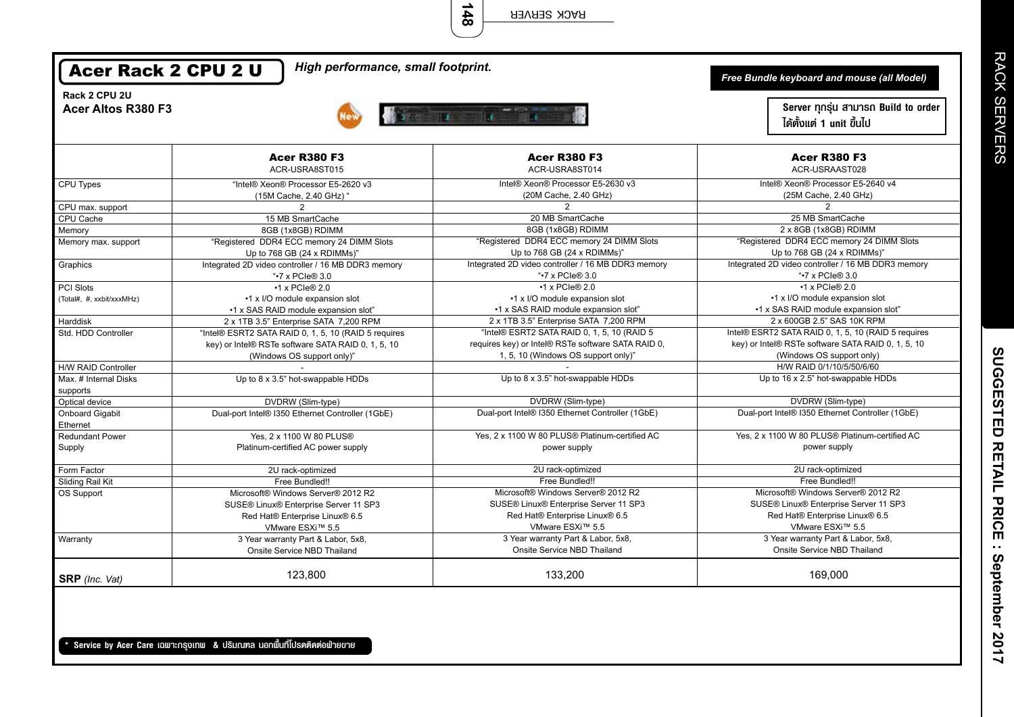**148** RACK SERVER

| Rack 2 CPU 2U                      |                                                                                                                                          |                                                                                                                                          | Free Bundle keyboard and mouse (all Model)                                                                                             |
|------------------------------------|------------------------------------------------------------------------------------------------------------------------------------------|------------------------------------------------------------------------------------------------------------------------------------------|----------------------------------------------------------------------------------------------------------------------------------------|
| Acer Altos R380 F3                 |                                                                                                                                          | <b>The Williams</b>                                                                                                                      | Server ทุกรุ่น สามารถ Build to order<br>ได้ตั้งแต่ 1 unit ขึ้นไป                                                                       |
|                                    | <b>Acer R380 F3</b><br>ACR-USRA8ST015                                                                                                    | <b>Acer R380 F3</b><br>ACR-USRA8ST014                                                                                                    | <b>Acer R380 F3</b><br>ACR-USRAAST028                                                                                                  |
| CPU Types                          | "Intel® Xeon® Processor E5-2620 v3<br>(15M Cache, 2.40 GHz) "                                                                            | Intel® Xeon® Processor E5-2630 v3<br>(20M Cache, 2.40 GHz)                                                                               | Intel® Xeon® Processor E5-2640 v4<br>(25M Cache, 2.40 GHz)                                                                             |
| CPU max. support                   | $\overline{2}$                                                                                                                           | $\overline{2}$                                                                                                                           | 2                                                                                                                                      |
| CPU Cache                          | 15 MB SmartCache                                                                                                                         | 20 MB SmartCache                                                                                                                         | 25 MB SmartCache                                                                                                                       |
| Memory                             | 8GB (1x8GB) RDIMM                                                                                                                        | 8GB (1x8GB) RDIMM                                                                                                                        | 2 x 8GB (1x8GB) RDIMM                                                                                                                  |
| Memory max. support                | "Registered DDR4 ECC memory 24 DIMM Slots<br>Up to 768 GB (24 x RDIMMs)"                                                                 | "Registered DDR4 ECC memory 24 DIMM Slots<br>Up to 768 GB (24 x RDIMMs)"                                                                 | "Registered DDR4 ECC memory 24 DIMM Slots<br>Up to 768 GB (24 x RDIMMs)"                                                               |
| Graphics                           | Integrated 2D video controller / 16 MB DDR3 memory<br>"•7 x PCIe® 3.0                                                                    | Integrated 2D video controller / 16 MB DDR3 memory<br>"•7 x PCIe® 3.0                                                                    | Integrated 2D video controller / 16 MB DDR3 memory<br>"•7 x PCIe® 3.0                                                                  |
| PCI Slots                          | $\cdot$ 1 x PCIe® 2.0                                                                                                                    | $\cdot$ 1 x PCIe® 2.0                                                                                                                    | $\cdot$ 1 x PCIe® 2.0                                                                                                                  |
| (Total#, #, xxbit/xxxMHz)          | •1 x I/O module expansion slot<br>•1 x SAS RAID module expansion slot"                                                                   | •1 x I/O module expansion slot<br>•1 x SAS RAID module expansion slot"                                                                   | •1 x I/O module expansion slot<br>•1 x SAS RAID module expansion slot"                                                                 |
| Harddisk                           | 2 x 1TB 3.5" Enterprise SATA 7,200 RPM                                                                                                   | 2 x 1TB 3.5" Enterprise SATA 7,200 RPM                                                                                                   | 2 x 600GB 2.5" SAS 10K RPM                                                                                                             |
| Std. HDD Controller                | "Intel® ESRT2 SATA RAID 0, 1, 5, 10 (RAID 5 requires<br>key) or Intel® RSTe software SATA RAID 0, 1, 5, 10<br>(Windows OS support only)" | "Intel® ESRT2 SATA RAID 0, 1, 5, 10 (RAID 5<br>requires key) or Intel® RSTe software SATA RAID 0,<br>1, 5, 10 (Windows OS support only)" | Intel® ESRT2 SATA RAID 0, 1, 5, 10 (RAID 5 requires<br>key) or Intel® RSTe software SATA RAID 0, 1, 5, 10<br>(Windows OS support only) |
| H/W RAID Controller                |                                                                                                                                          |                                                                                                                                          | H/W RAID 0/1/10/5/50/6/60                                                                                                              |
| Max. # Internal Disks<br>supports  | Up to 8 x 3.5" hot-swappable HDDs                                                                                                        | Up to 8 x 3.5" hot-swappable HDDs                                                                                                        | Up to 16 x 2.5" hot-swappable HDDs                                                                                                     |
| Optical device                     | DVDRW (Slim-type)                                                                                                                        | DVDRW (Slim-type)                                                                                                                        | DVDRW (Slim-type)                                                                                                                      |
| <b>Onboard Gigabit</b><br>Ethernet | Dual-port Intel® I350 Ethernet Controller (1GbE)                                                                                         | Dual-port Intel® I350 Ethernet Controller (1GbE)                                                                                         | Dual-port Intel® I350 Ethernet Controller (1GbE)                                                                                       |
| <b>Redundant Power</b>             | Yes, 2 x 1100 W 80 PLUS®                                                                                                                 | Yes, 2 x 1100 W 80 PLUS® Platinum-certified AC                                                                                           | Yes, 2 x 1100 W 80 PLUS® Platinum-certified AC                                                                                         |
| Supply                             | Platinum-certified AC power supply                                                                                                       | power supply                                                                                                                             | power supply                                                                                                                           |
| Form Factor                        | 2U rack-optimized                                                                                                                        | 2U rack-optimized                                                                                                                        | 2U rack-optimized                                                                                                                      |
| Sliding Rail Kit                   | Free Bundled!!                                                                                                                           | Free Bundled!!                                                                                                                           | Free Bundled!!                                                                                                                         |
| OS Support                         | Microsoft® Windows Server® 2012 R2<br>SUSE® Linux® Enterprise Server 11 SP3<br>Red Hat® Enterprise Linux® 6.5<br>VMware ESXi™ 5.5        | Microsoft® Windows Server® 2012 R2<br>SUSE® Linux® Enterprise Server 11 SP3<br>Red Hat® Enterprise Linux® 6.5<br>VMware ESXi™ 5.5        | Microsoft® Windows Server® 2012 R2<br>SUSE® Linux® Enterprise Server 11 SP3<br>Red Hat® Enterprise Linux® 6.5<br>VMware ESXi™ 5.5      |
| Warranty                           | 3 Year warranty Part & Labor, 5x8,<br>Onsite Service NBD Thailand                                                                        | 3 Year warranty Part & Labor, 5x8,<br>Onsite Service NBD Thailand                                                                        | 3 Year warranty Part & Labor, 5x8,<br>Onsite Service NBD Thailand                                                                      |
| SRP (Inc. Vat)                     | 123,800                                                                                                                                  | 133,200                                                                                                                                  | 169,000                                                                                                                                |

\* Service by Acer Care เฉพาะกรุงเทพ & ปริมณฑล นอกพื้นที่โปรดติดต่อฟ้ายขาย

Е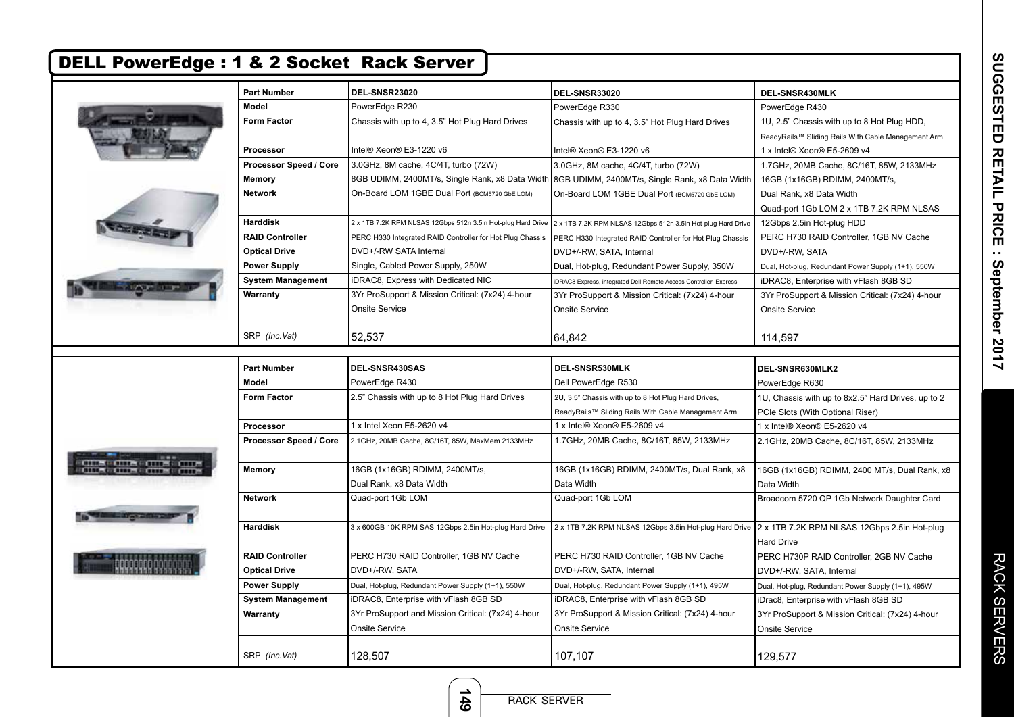| <b>Form Factor</b><br>Processor<br>Processor Speed / Core<br><b>RAID Controller</b><br><b>Optical Drive</b><br><b>Power Supply</b><br><b>System Management</b><br>SRP (Inc.Vat)<br><b>Part Number</b><br><b>Form Factor</b> | PowerEdge R230<br>Chassis with up to 4, 3.5" Hot Plug Hard Drives<br>Intel® Xeon® E3-1220 v6<br>3.0GHz, 8M cache, 4C/4T, turbo (72W)<br>8GB UDIMM, 2400MT/s, Single Rank, x8 Data Width<br>On-Board LOM 1GBE Dual Port (BCM5720 GbE LOM)<br>2 x 1TB 7.2K RPM NLSAS 12Gbps 512n 3.5in Hot-plug Hard Drive<br>PERC H330 Integrated RAID Controller for Hot Plug Chassis<br>DVD+/-RW SATA Internal<br>Single, Cabled Power Supply, 250W<br>iDRAC8, Express with Dedicated NIC<br>3Yr ProSupport & Mission Critical: (7x24) 4-hour<br><b>Onsite Service</b><br>52,537<br>DEL-SNSR430SAS<br>PowerEdge R430 | PowerEdge R330<br>Chassis with up to 4, 3.5" Hot Plug Hard Drives<br>Intel® Xeon® E3-1220 v6<br>3.0GHz, 8M cache, 4C/4T, turbo (72W)<br>8GB UDIMM, 2400MT/s, Single Rank, x8 Data Width<br>On-Board LOM 1GBE Dual Port (BCM5720 GbE LOM)<br>2 x 1TB 7.2K RPM NLSAS 12Gbps 512n 3.5in Hot-plug Hard Drive<br>PERC H330 Integrated RAID Controller for Hot Plug Chassis<br>DVD+/-RW, SATA, Internal<br>Dual, Hot-plug, Redundant Power Supply, 350W<br>iDRAC8 Express, integrated Dell Remote Access Controller, Express<br>3Yr ProSupport & Mission Critical: (7x24) 4-hour<br><b>Onsite Service</b><br>64,842<br>DEL-SNSR530MLK<br>Dell PowerEdge R530 | PowerEdge R430<br>1U, 2.5" Chassis with up to 8 Hot Plug HDD,<br>ReadyRails™ Sliding Rails With Cable Management Arm<br>1 x Intel® Xeon® E5-2609 v4<br>1.7GHz, 20MB Cache, 8C/16T, 85W, 2133MHz<br>16GB (1x16GB) RDIMM, 2400MT/s,<br>Dual Rank, x8 Data Width<br>Quad-port 1Gb LOM 2 x 1TB 7.2K RPM NLSAS<br>12Gbps 2.5in Hot-plug HDD<br>PERC H730 RAID Controller, 1GB NV Cache<br>DVD+/-RW, SATA<br>Dual, Hot-plug, Redundant Power Supply (1+1), 550W<br>iDRAC8, Enterprise with vFlash 8GB SD<br>3Yr ProSupport & Mission Critical: (7x24) 4-hour<br><b>Onsite Service</b><br>114,597<br>DEL-SNSR630MLK2<br>PowerEdge R630 |
|-----------------------------------------------------------------------------------------------------------------------------------------------------------------------------------------------------------------------------|-------------------------------------------------------------------------------------------------------------------------------------------------------------------------------------------------------------------------------------------------------------------------------------------------------------------------------------------------------------------------------------------------------------------------------------------------------------------------------------------------------------------------------------------------------------------------------------------------------|--------------------------------------------------------------------------------------------------------------------------------------------------------------------------------------------------------------------------------------------------------------------------------------------------------------------------------------------------------------------------------------------------------------------------------------------------------------------------------------------------------------------------------------------------------------------------------------------------------------------------------------------------------|---------------------------------------------------------------------------------------------------------------------------------------------------------------------------------------------------------------------------------------------------------------------------------------------------------------------------------------------------------------------------------------------------------------------------------------------------------------------------------------------------------------------------------------------------------------------------------------------------------------------------------|
|                                                                                                                                                                                                                             |                                                                                                                                                                                                                                                                                                                                                                                                                                                                                                                                                                                                       |                                                                                                                                                                                                                                                                                                                                                                                                                                                                                                                                                                                                                                                        |                                                                                                                                                                                                                                                                                                                                                                                                                                                                                                                                                                                                                                 |
|                                                                                                                                                                                                                             |                                                                                                                                                                                                                                                                                                                                                                                                                                                                                                                                                                                                       |                                                                                                                                                                                                                                                                                                                                                                                                                                                                                                                                                                                                                                                        |                                                                                                                                                                                                                                                                                                                                                                                                                                                                                                                                                                                                                                 |
|                                                                                                                                                                                                                             |                                                                                                                                                                                                                                                                                                                                                                                                                                                                                                                                                                                                       |                                                                                                                                                                                                                                                                                                                                                                                                                                                                                                                                                                                                                                                        |                                                                                                                                                                                                                                                                                                                                                                                                                                                                                                                                                                                                                                 |
|                                                                                                                                                                                                                             |                                                                                                                                                                                                                                                                                                                                                                                                                                                                                                                                                                                                       |                                                                                                                                                                                                                                                                                                                                                                                                                                                                                                                                                                                                                                                        |                                                                                                                                                                                                                                                                                                                                                                                                                                                                                                                                                                                                                                 |
|                                                                                                                                                                                                                             |                                                                                                                                                                                                                                                                                                                                                                                                                                                                                                                                                                                                       |                                                                                                                                                                                                                                                                                                                                                                                                                                                                                                                                                                                                                                                        |                                                                                                                                                                                                                                                                                                                                                                                                                                                                                                                                                                                                                                 |
|                                                                                                                                                                                                                             |                                                                                                                                                                                                                                                                                                                                                                                                                                                                                                                                                                                                       |                                                                                                                                                                                                                                                                                                                                                                                                                                                                                                                                                                                                                                                        |                                                                                                                                                                                                                                                                                                                                                                                                                                                                                                                                                                                                                                 |
|                                                                                                                                                                                                                             |                                                                                                                                                                                                                                                                                                                                                                                                                                                                                                                                                                                                       |                                                                                                                                                                                                                                                                                                                                                                                                                                                                                                                                                                                                                                                        |                                                                                                                                                                                                                                                                                                                                                                                                                                                                                                                                                                                                                                 |
|                                                                                                                                                                                                                             |                                                                                                                                                                                                                                                                                                                                                                                                                                                                                                                                                                                                       |                                                                                                                                                                                                                                                                                                                                                                                                                                                                                                                                                                                                                                                        |                                                                                                                                                                                                                                                                                                                                                                                                                                                                                                                                                                                                                                 |
|                                                                                                                                                                                                                             |                                                                                                                                                                                                                                                                                                                                                                                                                                                                                                                                                                                                       |                                                                                                                                                                                                                                                                                                                                                                                                                                                                                                                                                                                                                                                        |                                                                                                                                                                                                                                                                                                                                                                                                                                                                                                                                                                                                                                 |
|                                                                                                                                                                                                                             |                                                                                                                                                                                                                                                                                                                                                                                                                                                                                                                                                                                                       |                                                                                                                                                                                                                                                                                                                                                                                                                                                                                                                                                                                                                                                        |                                                                                                                                                                                                                                                                                                                                                                                                                                                                                                                                                                                                                                 |
|                                                                                                                                                                                                                             |                                                                                                                                                                                                                                                                                                                                                                                                                                                                                                                                                                                                       |                                                                                                                                                                                                                                                                                                                                                                                                                                                                                                                                                                                                                                                        |                                                                                                                                                                                                                                                                                                                                                                                                                                                                                                                                                                                                                                 |
|                                                                                                                                                                                                                             |                                                                                                                                                                                                                                                                                                                                                                                                                                                                                                                                                                                                       |                                                                                                                                                                                                                                                                                                                                                                                                                                                                                                                                                                                                                                                        |                                                                                                                                                                                                                                                                                                                                                                                                                                                                                                                                                                                                                                 |
|                                                                                                                                                                                                                             |                                                                                                                                                                                                                                                                                                                                                                                                                                                                                                                                                                                                       |                                                                                                                                                                                                                                                                                                                                                                                                                                                                                                                                                                                                                                                        |                                                                                                                                                                                                                                                                                                                                                                                                                                                                                                                                                                                                                                 |
|                                                                                                                                                                                                                             |                                                                                                                                                                                                                                                                                                                                                                                                                                                                                                                                                                                                       |                                                                                                                                                                                                                                                                                                                                                                                                                                                                                                                                                                                                                                                        |                                                                                                                                                                                                                                                                                                                                                                                                                                                                                                                                                                                                                                 |
|                                                                                                                                                                                                                             |                                                                                                                                                                                                                                                                                                                                                                                                                                                                                                                                                                                                       |                                                                                                                                                                                                                                                                                                                                                                                                                                                                                                                                                                                                                                                        |                                                                                                                                                                                                                                                                                                                                                                                                                                                                                                                                                                                                                                 |
|                                                                                                                                                                                                                             |                                                                                                                                                                                                                                                                                                                                                                                                                                                                                                                                                                                                       |                                                                                                                                                                                                                                                                                                                                                                                                                                                                                                                                                                                                                                                        |                                                                                                                                                                                                                                                                                                                                                                                                                                                                                                                                                                                                                                 |
|                                                                                                                                                                                                                             |                                                                                                                                                                                                                                                                                                                                                                                                                                                                                                                                                                                                       |                                                                                                                                                                                                                                                                                                                                                                                                                                                                                                                                                                                                                                                        |                                                                                                                                                                                                                                                                                                                                                                                                                                                                                                                                                                                                                                 |
|                                                                                                                                                                                                                             |                                                                                                                                                                                                                                                                                                                                                                                                                                                                                                                                                                                                       |                                                                                                                                                                                                                                                                                                                                                                                                                                                                                                                                                                                                                                                        |                                                                                                                                                                                                                                                                                                                                                                                                                                                                                                                                                                                                                                 |
|                                                                                                                                                                                                                             |                                                                                                                                                                                                                                                                                                                                                                                                                                                                                                                                                                                                       |                                                                                                                                                                                                                                                                                                                                                                                                                                                                                                                                                                                                                                                        |                                                                                                                                                                                                                                                                                                                                                                                                                                                                                                                                                                                                                                 |
|                                                                                                                                                                                                                             |                                                                                                                                                                                                                                                                                                                                                                                                                                                                                                                                                                                                       |                                                                                                                                                                                                                                                                                                                                                                                                                                                                                                                                                                                                                                                        |                                                                                                                                                                                                                                                                                                                                                                                                                                                                                                                                                                                                                                 |
|                                                                                                                                                                                                                             | 2.5" Chassis with up to 8 Hot Plug Hard Drives                                                                                                                                                                                                                                                                                                                                                                                                                                                                                                                                                        | 2U, 3.5" Chassis with up to 8 Hot Plug Hard Drives,                                                                                                                                                                                                                                                                                                                                                                                                                                                                                                                                                                                                    | 1U, Chassis with up to 8x2.5" Hard Drives, up to 2                                                                                                                                                                                                                                                                                                                                                                                                                                                                                                                                                                              |
|                                                                                                                                                                                                                             |                                                                                                                                                                                                                                                                                                                                                                                                                                                                                                                                                                                                       | ReadyRails™ Sliding Rails With Cable Management Arm                                                                                                                                                                                                                                                                                                                                                                                                                                                                                                                                                                                                    | PCIe Slots (With Optional Riser)                                                                                                                                                                                                                                                                                                                                                                                                                                                                                                                                                                                                |
| Processor                                                                                                                                                                                                                   | 1 x Intel Xeon E5-2620 v4                                                                                                                                                                                                                                                                                                                                                                                                                                                                                                                                                                             | 1 x Intel® Xeon® E5-2609 v4                                                                                                                                                                                                                                                                                                                                                                                                                                                                                                                                                                                                                            | 1 x Intel® Xeon® E5-2620 v4                                                                                                                                                                                                                                                                                                                                                                                                                                                                                                                                                                                                     |
| Processor Speed / Core                                                                                                                                                                                                      | 2.1GHz, 20MB Cache, 8C/16T, 85W, MaxMem 2133MHz                                                                                                                                                                                                                                                                                                                                                                                                                                                                                                                                                       | 1.7GHz, 20MB Cache, 8C/16T, 85W, 2133MHz                                                                                                                                                                                                                                                                                                                                                                                                                                                                                                                                                                                                               | 2.1GHz, 20MB Cache, 8C/16T, 85W, 2133MHz                                                                                                                                                                                                                                                                                                                                                                                                                                                                                                                                                                                        |
|                                                                                                                                                                                                                             |                                                                                                                                                                                                                                                                                                                                                                                                                                                                                                                                                                                                       |                                                                                                                                                                                                                                                                                                                                                                                                                                                                                                                                                                                                                                                        |                                                                                                                                                                                                                                                                                                                                                                                                                                                                                                                                                                                                                                 |
|                                                                                                                                                                                                                             | 16GB (1x16GB) RDIMM, 2400MT/s,                                                                                                                                                                                                                                                                                                                                                                                                                                                                                                                                                                        | 16GB (1x16GB) RDIMM, 2400MT/s, Dual Rank, x8                                                                                                                                                                                                                                                                                                                                                                                                                                                                                                                                                                                                           | 16GB (1x16GB) RDIMM, 2400 MT/s, Dual Rank, x8                                                                                                                                                                                                                                                                                                                                                                                                                                                                                                                                                                                   |
|                                                                                                                                                                                                                             | Dual Rank, x8 Data Width                                                                                                                                                                                                                                                                                                                                                                                                                                                                                                                                                                              | Data Width                                                                                                                                                                                                                                                                                                                                                                                                                                                                                                                                                                                                                                             | Data Width                                                                                                                                                                                                                                                                                                                                                                                                                                                                                                                                                                                                                      |
|                                                                                                                                                                                                                             | Quad-port 1Gb LOM                                                                                                                                                                                                                                                                                                                                                                                                                                                                                                                                                                                     | Quad-port 1Gb LOM                                                                                                                                                                                                                                                                                                                                                                                                                                                                                                                                                                                                                                      | Broadcom 5720 QP 1Gb Network Daughter Card                                                                                                                                                                                                                                                                                                                                                                                                                                                                                                                                                                                      |
|                                                                                                                                                                                                                             | 3 x 600GB 10K RPM SAS 12Gbps 2.5in Hot-plug Hard Drive                                                                                                                                                                                                                                                                                                                                                                                                                                                                                                                                                | 2 x 1TB 7.2K RPM NLSAS 12Gbps 3.5in Hot-plug Hard Drive 2 x 1TB 7.2K RPM NLSAS 12Gbps 2.5in Hot-plug                                                                                                                                                                                                                                                                                                                                                                                                                                                                                                                                                   |                                                                                                                                                                                                                                                                                                                                                                                                                                                                                                                                                                                                                                 |
|                                                                                                                                                                                                                             |                                                                                                                                                                                                                                                                                                                                                                                                                                                                                                                                                                                                       |                                                                                                                                                                                                                                                                                                                                                                                                                                                                                                                                                                                                                                                        | <b>Hard Drive</b>                                                                                                                                                                                                                                                                                                                                                                                                                                                                                                                                                                                                               |
| <b>RAID Controller</b>                                                                                                                                                                                                      | PERC H730 RAID Controller, 1GB NV Cache                                                                                                                                                                                                                                                                                                                                                                                                                                                                                                                                                               | PERC H730 RAID Controller, 1GB NV Cache                                                                                                                                                                                                                                                                                                                                                                                                                                                                                                                                                                                                                | PERC H730P RAID Controller, 2GB NV Cache                                                                                                                                                                                                                                                                                                                                                                                                                                                                                                                                                                                        |
| <b>Optical Drive</b>                                                                                                                                                                                                        | DVD+/-RW, SATA                                                                                                                                                                                                                                                                                                                                                                                                                                                                                                                                                                                        | DVD+/-RW, SATA, Internal                                                                                                                                                                                                                                                                                                                                                                                                                                                                                                                                                                                                                               | DVD+/-RW, SATA, Internal                                                                                                                                                                                                                                                                                                                                                                                                                                                                                                                                                                                                        |
| <b>Power Supply</b>                                                                                                                                                                                                         | Dual, Hot-plug, Redundant Power Supply (1+1), 550W                                                                                                                                                                                                                                                                                                                                                                                                                                                                                                                                                    | Dual, Hot-plug, Redundant Power Supply (1+1), 495W                                                                                                                                                                                                                                                                                                                                                                                                                                                                                                                                                                                                     | Dual, Hot-plug, Redundant Power Supply (1+1), 495W                                                                                                                                                                                                                                                                                                                                                                                                                                                                                                                                                                              |
|                                                                                                                                                                                                                             | iDRAC8, Enterprise with vFlash 8GB SD                                                                                                                                                                                                                                                                                                                                                                                                                                                                                                                                                                 | iDRAC8, Enterprise with vFlash 8GB SD                                                                                                                                                                                                                                                                                                                                                                                                                                                                                                                                                                                                                  | iDrac8, Enterprise with vFlash 8GB SD                                                                                                                                                                                                                                                                                                                                                                                                                                                                                                                                                                                           |
|                                                                                                                                                                                                                             |                                                                                                                                                                                                                                                                                                                                                                                                                                                                                                                                                                                                       |                                                                                                                                                                                                                                                                                                                                                                                                                                                                                                                                                                                                                                                        | 3Yr ProSupport & Mission Critical: (7x24) 4-hour                                                                                                                                                                                                                                                                                                                                                                                                                                                                                                                                                                                |
|                                                                                                                                                                                                                             |                                                                                                                                                                                                                                                                                                                                                                                                                                                                                                                                                                                                       |                                                                                                                                                                                                                                                                                                                                                                                                                                                                                                                                                                                                                                                        | <b>Onsite Service</b>                                                                                                                                                                                                                                                                                                                                                                                                                                                                                                                                                                                                           |
|                                                                                                                                                                                                                             | <b>System Management</b>                                                                                                                                                                                                                                                                                                                                                                                                                                                                                                                                                                              | 3Yr ProSupport and Mission Critical: (7x24) 4-hour                                                                                                                                                                                                                                                                                                                                                                                                                                                                                                                                                                                                     | 3Yr ProSupport & Mission Critical: (7x24) 4-hour<br><b>Onsite Service</b><br>Onsite Service                                                                                                                                                                                                                                                                                                                                                                                                                                                                                                                                     |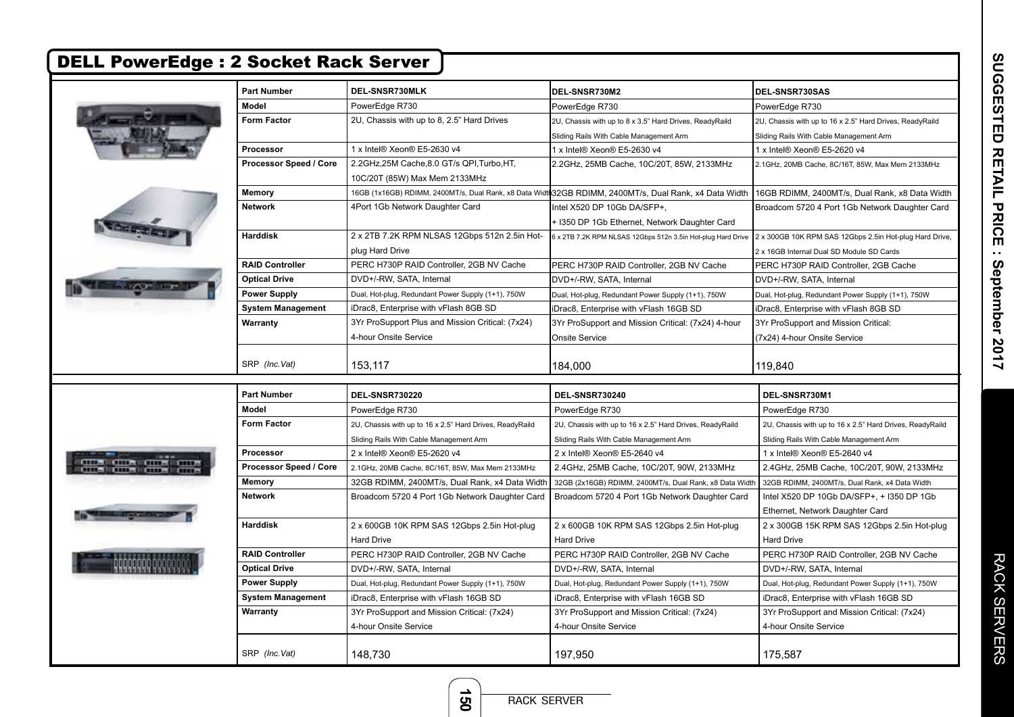|                                | <b>Part Number</b>       | DEL-SNSR730MLK                                                           | DEL-SNSR730M2                                                                                         | DEL-SNSR730SAS                                                                                       |
|--------------------------------|--------------------------|--------------------------------------------------------------------------|-------------------------------------------------------------------------------------------------------|------------------------------------------------------------------------------------------------------|
|                                | Model                    | PowerEdge R730                                                           | PowerEdge R730                                                                                        | PowerEdge R730                                                                                       |
|                                | <b>Form Factor</b>       | 2U, Chassis with up to 8, 2.5" Hard Drives                               | 2U, Chassis with up to 8 x 3.5" Hard Drives, ReadyRaild                                               | 2U, Chassis with up to 16 x 2.5" Hard Drives, ReadyRaild                                             |
|                                |                          |                                                                          | Sliding Rails With Cable Management Arm                                                               | Sliding Rails With Cable Management Arm                                                              |
|                                | <b>Processor</b>         | 1 x Intel® Xeon® E5-2630 v4                                              | 1 x Intel® Xeon® E5-2630 v4                                                                           | 1 x Intel® Xeon® E5-2620 v4                                                                          |
|                                | Processor Speed / Core   | 2.2GHz,25M Cache,8.0 GT/s QPI,Turbo,HT,<br>10C/20T (85W) Max Mem 2133MHz | 2.2GHz, 25MB Cache, 10C/20T, 85W, 2133MHz                                                             | 2.1GHz, 20MB Cache, 8C/16T, 85W, Max Mem 2133MHz                                                     |
|                                | Memory                   |                                                                          | 16GB (1x16GB) RDIMM, 2400MT/s, Dual Rank, x8 Data Width32GB RDIMM, 2400MT/s, Dual Rank, x4 Data Width | 16GB RDIMM, 2400MT/s, Dual Rank, x8 Data Width                                                       |
|                                | <b>Network</b>           | 4Port 1Gb Network Daughter Card                                          | Intel X520 DP 10Gb DA/SFP+,<br>+ I350 DP 1Gb Ethernet, Network Daughter Card                          | Broadcom 5720 4 Port 1Gb Network Daughter Card                                                       |
|                                | <b>Harddisk</b>          | 2 x 2TB 7.2K RPM NLSAS 12Gbps 512n 2.5in Hot-<br>plug Hard Drive         | 6 x 2TB 7.2K RPM NLSAS 12Gbps 512n 3.5in Hot-plug Hard Drive                                          | 2 x 300GB 10K RPM SAS 12Gbps 2.5in Hot-plug Hard Drive,<br>2 x 16GB Internal Dual SD Module SD Cards |
|                                | <b>RAID Controller</b>   | PERC H730P RAID Controller, 2GB NV Cache                                 | PERC H730P RAID Controller, 2GB NV Cache                                                              | PERC H730P RAID Controller, 2GB Cache                                                                |
|                                | <b>Optical Drive</b>     | DVD+/-RW, SATA, Internal                                                 | DVD+/-RW, SATA, Internal                                                                              | DVD+/-RW, SATA, Internal                                                                             |
|                                | <b>Power Supply</b>      | Dual, Hot-plug, Redundant Power Supply (1+1), 750W                       | Dual, Hot-plug, Redundant Power Supply (1+1), 750W                                                    | Dual, Hot-plug, Redundant Power Supply (1+1), 750W                                                   |
|                                | <b>System Management</b> | iDrac8, Enterprise with vFlash 8GB SD                                    | iDrac8, Enterprise with vFlash 16GB SD                                                                | iDrac8, Enterprise with vFlash 8GB SD                                                                |
|                                | Warranty                 | 3Yr ProSupport Plus and Mission Critical: (7x24)                         | 3Yr ProSupport and Mission Critical: (7x24) 4-hour                                                    | 3Yr ProSupport and Mission Critical:                                                                 |
|                                |                          | 4-hour Onsite Service                                                    | <b>Onsite Service</b>                                                                                 | (7x24) 4-hour Onsite Service                                                                         |
|                                | SRP (Inc.Vat)            | 153.117                                                                  | 184,000                                                                                               | 119.840                                                                                              |
|                                | <b>Part Number</b>       | <b>DEL-SNSR730220</b>                                                    | <b>DEL-SNSR730240</b>                                                                                 | DEL-SNSR730M1                                                                                        |
|                                | <b>Model</b>             | PowerEdge R730                                                           | PowerEdge R730                                                                                        | PowerEdge R730                                                                                       |
|                                | <b>Form Factor</b>       | 2U, Chassis with up to 16 x 2.5" Hard Drives, ReadyRaild                 | 2U, Chassis with up to 16 x 2.5" Hard Drives, ReadyRaild                                              | 2U, Chassis with up to 16 x 2.5" Hard Drives, ReadyRaild                                             |
|                                |                          | Sliding Rails With Cable Management Arm                                  | Sliding Rails With Cable Management Arm                                                               | Sliding Rails With Cable Management Arm                                                              |
|                                | Processor                | 2 x Intel® Xeon® E5-2620 v4                                              | 2 x Intel® Xeon® E5-2640 v4                                                                           | 1 x Intel® Xeon® E5-2640 v4                                                                          |
| <b>MARK AND BEER AND REED </b> | Processor Speed / Core   | 2.1GHz, 20MB Cache, 8C/16T, 85W, Max Mem 2133MHz                         | 2.4GHz, 25MB Cache, 10C/20T, 90W, 2133MHz                                                             | 2.4GHz, 25MB Cache, 10C/20T, 90W, 2133MHz                                                            |
|                                | Memory                   | 32GB RDIMM, 2400MT/s, Dual Rank, x4 Data Widt                            | 32GB (2x16GB) RDIMM, 2400MT/s, Dual Rank, x8 Data Widt                                                | 32GB RDIMM, 2400MT/s, Dual Rank, x4 Data Width                                                       |
|                                | <b>Network</b>           | Broadcom 5720 4 Port 1Gb Network Daughter Card                           | Broadcom 5720 4 Port 1Gb Network Daughter Card                                                        | Intel X520 DP 10Gb DA/SFP+, + I350 DP 1Gb<br>Ethernet, Network Daughter Card                         |
|                                | <b>Harddisk</b>          | 2 x 600GB 10K RPM SAS 12Gbps 2.5in Hot-plug<br><b>Hard Drive</b>         | 2 x 600GB 10K RPM SAS 12Gbps 2.5in Hot-plug<br><b>Hard Drive</b>                                      | 2 x 300GB 15K RPM SAS 12Gbps 2.5in Hot-plug<br><b>Hard Drive</b>                                     |
|                                | <b>RAID Controller</b>   | PERC H730P RAID Controller, 2GB NV Cache                                 | PERC H730P RAID Controller, 2GB NV Cache                                                              | PERC H730P RAID Controller, 2GB NV Cache                                                             |
|                                | <b>Optical Drive</b>     | DVD+/-RW, SATA, Internal                                                 | DVD+/-RW, SATA, Internal                                                                              | DVD+/-RW, SATA, Internal                                                                             |
|                                | <b>Power Supply</b>      | Dual, Hot-plug, Redundant Power Supply (1+1), 750W                       | Dual, Hot-plug, Redundant Power Supply (1+1), 750W                                                    | Dual, Hot-plug, Redundant Power Supply (1+1), 750W                                                   |
|                                | <b>System Management</b> | iDrac8, Enterprise with vFlash 16GB SD                                   | iDrac8, Enterprise with vFlash 16GB SD                                                                | iDrac8, Enterprise with vFlash 16GB SD                                                               |
|                                | Warranty                 | 3Yr ProSupport and Mission Critical: (7x24)                              | 3Yr ProSupport and Mission Critical: (7x24)                                                           | 3Yr ProSupport and Mission Critical: (7x24)                                                          |
|                                |                          | 4-hour Onsite Service                                                    | 4-hour Onsite Service                                                                                 | 4-hour Onsite Service                                                                                |
|                                | SRP (Inc.Vat)            | 148,730                                                                  | 197,950                                                                                               | 175,587                                                                                              |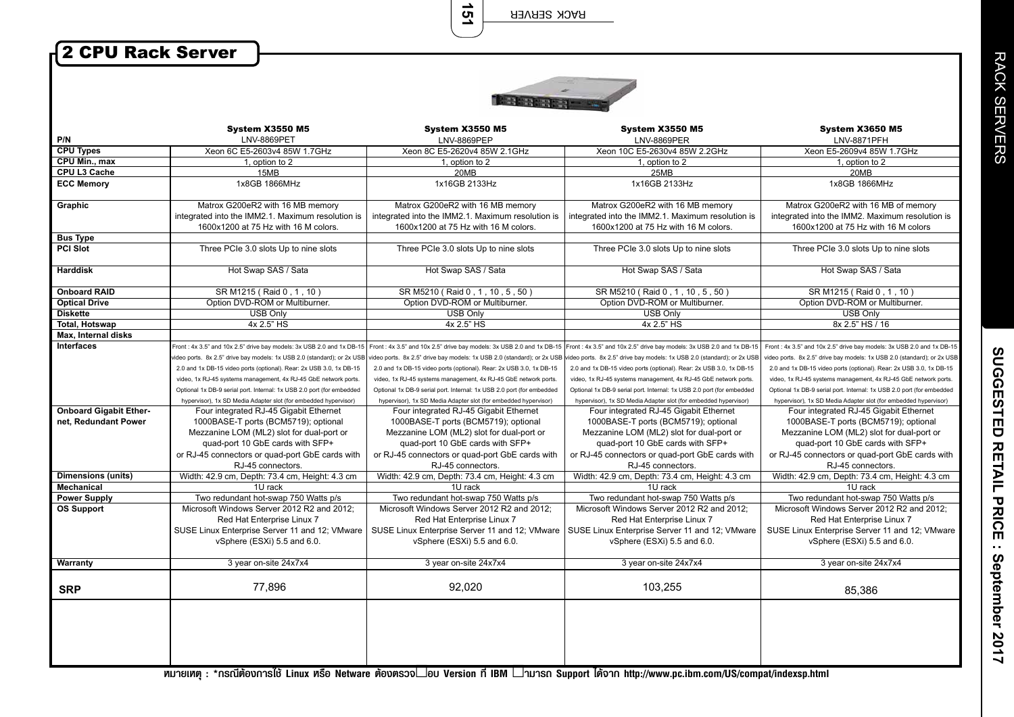RACK SERVER

**151**

## 2 CPU Rack Server



| P/N                           | <b>System X3550 M5</b><br>LNV-8869PET                                                                                                                     | <b>System X3550 M5</b><br><b>LNV-8869PEP</b>                                                                                                              | <b>System X3550 M5</b><br>LNV-8869PER                                                                                                                                                                                    | <b>System X3650 M5</b><br>LNV-8871PFH                                                                                                                     |
|-------------------------------|-----------------------------------------------------------------------------------------------------------------------------------------------------------|-----------------------------------------------------------------------------------------------------------------------------------------------------------|--------------------------------------------------------------------------------------------------------------------------------------------------------------------------------------------------------------------------|-----------------------------------------------------------------------------------------------------------------------------------------------------------|
| <b>CPU Types</b>              | Xeon 6C E5-2603v4 85W 1.7GHz                                                                                                                              | Xeon 8C E5-2620v4 85W 2.1GHz                                                                                                                              | Xeon 10C E5-2630v4 85W 2.2GHz                                                                                                                                                                                            | Xeon E5-2609v4 85W 1.7GHz                                                                                                                                 |
| CPU Min., max                 | 1, option to 2                                                                                                                                            | 1, option to 2                                                                                                                                            | 1, option to 2                                                                                                                                                                                                           | 1, option to 2                                                                                                                                            |
| CPU L3 Cache                  | 15MB                                                                                                                                                      | 20MB                                                                                                                                                      | 25MB                                                                                                                                                                                                                     | 20MB                                                                                                                                                      |
| <b>ECC Memory</b>             | 1x8GB 1866MHz                                                                                                                                             | 1x16GB 2133Hz                                                                                                                                             | 1x16GB 2133Hz                                                                                                                                                                                                            | 1x8GB 1866MHz                                                                                                                                             |
| Graphic                       | Matrox G200eR2 with 16 MB memory<br>integrated into the IMM2.1. Maximum resolution is<br>1600x1200 at 75 Hz with 16 M colors.                             | Matrox G200eR2 with 16 MB memory<br>integrated into the IMM2.1. Maximum resolution is<br>1600x1200 at 75 Hz with 16 M colors.                             | Matrox G200eR2 with 16 MB memory<br>integrated into the IMM2.1. Maximum resolution is<br>1600x1200 at 75 Hz with 16 M colors.                                                                                            | Matrox G200eR2 with 16 MB of memory<br>integrated into the IMM2. Maximum resolution is<br>1600x1200 at 75 Hz with 16 M colors                             |
| <b>Bus Type</b>               |                                                                                                                                                           |                                                                                                                                                           |                                                                                                                                                                                                                          |                                                                                                                                                           |
| <b>PCI Slot</b>               | Three PCIe 3.0 slots Up to nine slots                                                                                                                     | Three PCIe 3.0 slots Up to nine slots                                                                                                                     | Three PCIe 3.0 slots Up to nine slots                                                                                                                                                                                    | Three PCIe 3.0 slots Up to nine slots                                                                                                                     |
| <b>Harddisk</b>               | Hot Swap SAS / Sata                                                                                                                                       | Hot Swap SAS / Sata                                                                                                                                       | Hot Swap SAS / Sata                                                                                                                                                                                                      | Hot Swap SAS / Sata                                                                                                                                       |
| <b>Onboard RAID</b>           | SR M1215 (Raid 0, 1, 10)                                                                                                                                  | SR M5210 (Raid 0, 1, 10, 5, 50)                                                                                                                           | SR M5210 (Raid 0, 1, 10, 5, 50)                                                                                                                                                                                          | SR M1215 (Raid 0, 1, 10)                                                                                                                                  |
| <b>Optical Drive</b>          | Option DVD-ROM or Multiburner.                                                                                                                            | Option DVD-ROM or Multiburner.                                                                                                                            | Option DVD-ROM or Multiburner.                                                                                                                                                                                           | Option DVD-ROM or Multiburner.                                                                                                                            |
| <b>Diskette</b>               | <b>USB Only</b>                                                                                                                                           | <b>USB Only</b>                                                                                                                                           | <b>USB Only</b>                                                                                                                                                                                                          | <b>USB Only</b>                                                                                                                                           |
| <b>Total, Hotswap</b>         | 4x 2.5" HS                                                                                                                                                | 4x 2.5" HS                                                                                                                                                | 4x 2.5" HS                                                                                                                                                                                                               | 8x 2.5" HS / 16                                                                                                                                           |
| Max, Internal disks           |                                                                                                                                                           |                                                                                                                                                           |                                                                                                                                                                                                                          |                                                                                                                                                           |
| Interfaces                    | Front: 4x 3.5" and 10x 2.5" drive bay models: 3x USB 2.0 and 1x DB-15<br>rideo ports. 8x 2.5" drive bay models: 1x USB 2.0 (standard); or 2x USB          | video ports. 8x 2.5" drive bay models: 1x USB 2.0 (standard); or 2x USB                                                                                   | Front : 4x 3.5" and 10x 2.5" drive bay models: 3x USB 2.0 and 1x DB-15 Front : 4x 3.5" and 10x 2.5" drive bay models: 3x USB 2.0 and 1x DB-15<br>video ports. 8x 2.5" drive bay models: 1x USB 2.0 (standard); or 2x USB | Front: 4x 3.5" and 10x 2.5" drive bay models: 3x USB 2.0 and 1x DB-15<br>video ports. 8x 2.5" drive bay models: 1x USB 2.0 (standard); or 2x USB          |
|                               | 2.0 and 1x DB-15 video ports (optional). Rear: 2x USB 3.0, 1x DB-15                                                                                       | 2.0 and 1x DB-15 video ports (optional). Rear: 2x USB 3.0, 1x DB-15                                                                                       | 2.0 and 1x DB-15 video ports (optional). Rear: 2x USB 3.0, 1x DB-15                                                                                                                                                      | 2.0 and 1x DB-15 video ports (optional). Rear: 2x USB 3.0, 1x DB-15                                                                                       |
|                               | video, 1x RJ-45 systems management, 4x RJ-45 GbE network ports.                                                                                           | video, 1x RJ-45 systems management, 4x RJ-45 GbE network ports.                                                                                           | video, 1x RJ-45 systems management, 4x RJ-45 GbE network ports.                                                                                                                                                          | video, 1x RJ-45 systems management, 4x RJ-45 GbE network ports.                                                                                           |
|                               | Optional 1x DB-9 serial port. Internal: 1x USB 2.0 port (for embedded                                                                                     | Optional 1x DB-9 serial port. Internal: 1x USB 2.0 port (for embedded                                                                                     | Optional 1x DB-9 serial port. Internal: 1x USB 2.0 port (for embedded                                                                                                                                                    | Optional 1x DB-9 serial port. Internal: 1x USB 2.0 port (for embedded                                                                                     |
|                               | hypervisor), 1x SD Media Adapter slot (for embedded hypervisor)                                                                                           | hypervisor), 1x SD Media Adapter slot (for embedded hypervisor)                                                                                           | hypervisor), 1x SD Media Adapter slot (for embedded hypervisor)                                                                                                                                                          | hypervisor), 1x SD Media Adapter slot (for embedded hypervisor)                                                                                           |
| <b>Onboard Gigabit Ether-</b> | Four integrated RJ-45 Gigabit Ethernet                                                                                                                    | Four integrated RJ-45 Gigabit Ethernet                                                                                                                    | Four integrated RJ-45 Gigabit Ethernet                                                                                                                                                                                   | Four integrated RJ-45 Gigabit Ethernet                                                                                                                    |
| net, Redundant Power          | 1000BASE-T ports (BCM5719); optional<br>Mezzanine LOM (ML2) slot for dual-port or                                                                         | 1000BASE-T ports (BCM5719); optional<br>Mezzanine LOM (ML2) slot for dual-port or                                                                         | 1000BASE-T ports (BCM5719); optional<br>Mezzanine LOM (ML2) slot for dual-port or                                                                                                                                        | 1000BASE-T ports (BCM5719); optional<br>Mezzanine LOM (ML2) slot for dual-port or                                                                         |
|                               | quad-port 10 GbE cards with SFP+                                                                                                                          | quad-port 10 GbE cards with SFP+                                                                                                                          | quad-port 10 GbE cards with SFP+                                                                                                                                                                                         | quad-port 10 GbE cards with SFP+                                                                                                                          |
|                               | or RJ-45 connectors or quad-port GbE cards with<br>RJ-45 connectors.                                                                                      | or RJ-45 connectors or quad-port GbE cards with<br>RJ-45 connectors.                                                                                      | or RJ-45 connectors or quad-port GbE cards with<br>RJ-45 connectors.                                                                                                                                                     | or RJ-45 connectors or quad-port GbE cards with<br>RJ-45 connectors.                                                                                      |
| <b>Dimensions (units)</b>     | Width: 42.9 cm, Depth: 73.4 cm, Height: 4.3 cm                                                                                                            | Width: 42.9 cm, Depth: 73.4 cm, Height: 4.3 cm                                                                                                            |                                                                                                                                                                                                                          | Width: 42.9 cm, Depth: 73.4 cm, Height: 4.3 cm                                                                                                            |
| <b>Mechanical</b>             | 1U rack                                                                                                                                                   | 1U rack                                                                                                                                                   | Width: 42.9 cm, Depth: 73.4 cm, Height: 4.3 cm<br>1U rack                                                                                                                                                                | 1U rack                                                                                                                                                   |
| <b>Power Supply</b>           | Two redundant hot-swap 750 Watts p/s                                                                                                                      | Two redundant hot-swap 750 Watts p/s                                                                                                                      | Two redundant hot-swap 750 Watts p/s                                                                                                                                                                                     | Two redundant hot-swap 750 Watts p/s                                                                                                                      |
| <b>OS Support</b>             | Microsoft Windows Server 2012 R2 and 2012;<br>Red Hat Enterprise Linux 7<br>SUSE Linux Enterprise Server 11 and 12; VMware<br>vSphere (ESXi) 5.5 and 6.0. | Microsoft Windows Server 2012 R2 and 2012;<br>Red Hat Enterprise Linux 7<br>SUSE Linux Enterprise Server 11 and 12; VMware<br>vSphere (ESXi) 5.5 and 6.0. | Microsoft Windows Server 2012 R2 and 2012;<br>Red Hat Enterprise Linux 7<br>SUSE Linux Enterprise Server 11 and 12; VMware<br>vSphere (ESXi) 5.5 and 6.0.                                                                | Microsoft Windows Server 2012 R2 and 2012;<br>Red Hat Enterprise Linux 7<br>SUSE Linux Enterprise Server 11 and 12; VMware<br>vSphere (ESXi) 5.5 and 6.0. |
| <b>Warranty</b>               | 3 year on-site 24x7x4                                                                                                                                     | 3 year on-site 24x7x4                                                                                                                                     | 3 year on-site 24x7x4                                                                                                                                                                                                    | 3 year on-site 24x7x4                                                                                                                                     |
|                               |                                                                                                                                                           |                                                                                                                                                           |                                                                                                                                                                                                                          |                                                                                                                                                           |
| <b>SRP</b>                    | 77,896                                                                                                                                                    | 92,020                                                                                                                                                    | 103,255                                                                                                                                                                                                                  | 85.386                                                                                                                                                    |
|                               |                                                                                                                                                           |                                                                                                                                                           |                                                                                                                                                                                                                          |                                                                                                                                                           |

**ËÁÒÂà赯 : \*¡Ã³ÕµŒÍ§¡ÒÃ㪌 Linux ËÃ×Í Netware µŒÍ§µÃǨสͺ Version ·Õè IBM สÒÁÒö Support ä´Œ¨Ò¡ http://www.pc.ibm.com/US/compat/indexsp.html**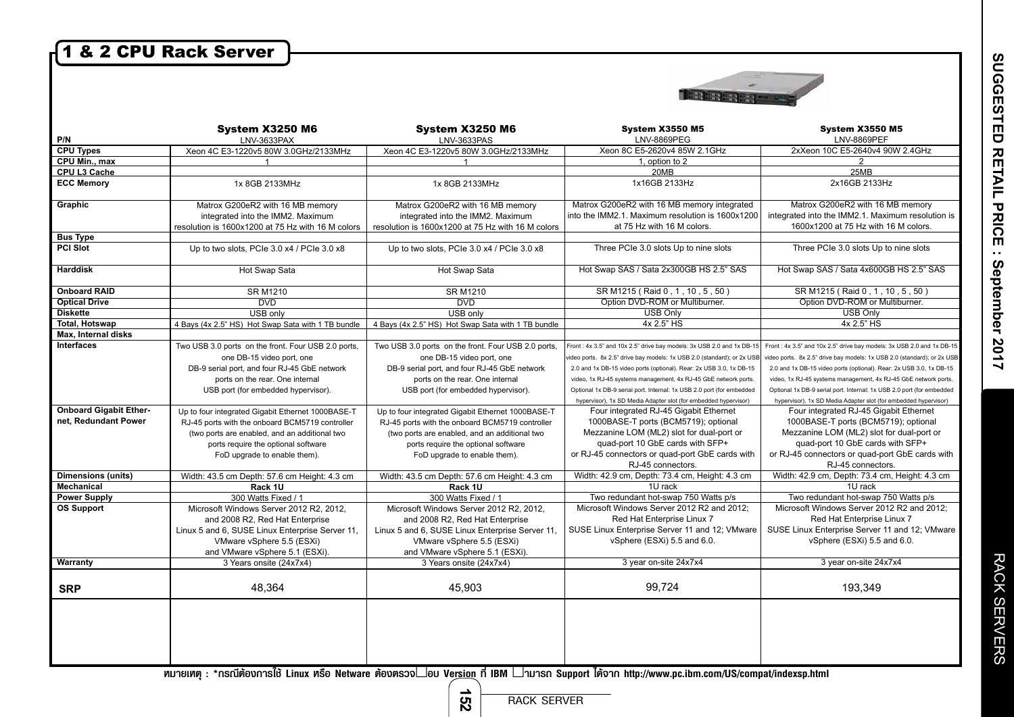## 1 & 2 CPU Rack Server

 $\overline{\phantom{a}}$ 



| P/N                                                   | System X3250 M6<br>LNV-3633PAX                                                                                                                                                                                               | <b>System X3250 M6</b><br>LNV-3633PAS                                                                                                                                                                                        | <b>System X3550 M5</b><br><b>LNV-8869PEG</b>                                                                                                                                                                                                                                               | <b>System X3550 M5</b><br><b>LNV-8869PEF</b>                                                                                                                                                                                                                                               |
|-------------------------------------------------------|------------------------------------------------------------------------------------------------------------------------------------------------------------------------------------------------------------------------------|------------------------------------------------------------------------------------------------------------------------------------------------------------------------------------------------------------------------------|--------------------------------------------------------------------------------------------------------------------------------------------------------------------------------------------------------------------------------------------------------------------------------------------|--------------------------------------------------------------------------------------------------------------------------------------------------------------------------------------------------------------------------------------------------------------------------------------------|
| <b>CPU Types</b>                                      | Xeon 4C E3-1220v5 80W 3.0GHz/2133MHz                                                                                                                                                                                         | Xeon 4C E3-1220v5 80W 3.0GHz/2133MHz                                                                                                                                                                                         | Xeon 8C E5-2620v4 85W 2.1GHz                                                                                                                                                                                                                                                               | 2xXeon 10C E5-2640v4 90W 2.4GHz                                                                                                                                                                                                                                                            |
| <b>CPU Min., max</b>                                  |                                                                                                                                                                                                                              |                                                                                                                                                                                                                              | 1, option to 2                                                                                                                                                                                                                                                                             | $\overline{2}$                                                                                                                                                                                                                                                                             |
| CPU L3 Cache                                          |                                                                                                                                                                                                                              |                                                                                                                                                                                                                              | 20MB                                                                                                                                                                                                                                                                                       | 25MB                                                                                                                                                                                                                                                                                       |
| <b>ECC Memory</b>                                     | 1x 8GB 2133MHz                                                                                                                                                                                                               | 1x 8GB 2133MHz                                                                                                                                                                                                               | 1x16GB 2133Hz                                                                                                                                                                                                                                                                              | 2x16GB 2133Hz                                                                                                                                                                                                                                                                              |
| Graphic                                               | Matrox G200eR2 with 16 MB memory<br>integrated into the IMM2. Maximum<br>resolution is 1600x1200 at 75 Hz with 16 M colors                                                                                                   | Matrox G200eR2 with 16 MB memory<br>integrated into the IMM2. Maximum<br>resolution is 1600x1200 at 75 Hz with 16 M colors                                                                                                   | Matrox G200eR2 with 16 MB memory integrated<br>into the IMM2.1. Maximum resolution is 1600x1200<br>at 75 Hz with 16 M colors.                                                                                                                                                              | Matrox G200eR2 with 16 MB memory<br>integrated into the IMM2.1. Maximum resolution is<br>1600x1200 at 75 Hz with 16 M colors.                                                                                                                                                              |
| <b>Bus Type</b>                                       |                                                                                                                                                                                                                              |                                                                                                                                                                                                                              |                                                                                                                                                                                                                                                                                            |                                                                                                                                                                                                                                                                                            |
| <b>PCI Slot</b>                                       | Up to two slots, PCIe 3.0 x4 / PCIe 3.0 x8                                                                                                                                                                                   | Up to two slots, PCIe 3.0 x4 / PCIe 3.0 x8                                                                                                                                                                                   | Three PCIe 3.0 slots Up to nine slots                                                                                                                                                                                                                                                      | Three PCIe 3.0 slots Up to nine slots                                                                                                                                                                                                                                                      |
| <b>Harddisk</b>                                       | Hot Swap Sata                                                                                                                                                                                                                | Hot Swap Sata                                                                                                                                                                                                                | Hot Swap SAS / Sata 2x300GB HS 2.5" SAS                                                                                                                                                                                                                                                    | Hot Swap SAS / Sata 4x600GB HS 2.5" SAS                                                                                                                                                                                                                                                    |
| <b>Onboard RAID</b>                                   | <b>SR M1210</b>                                                                                                                                                                                                              | <b>SR M1210</b>                                                                                                                                                                                                              | SR M1215 (Raid 0, 1, 10, 5, 50)                                                                                                                                                                                                                                                            | SR M1215 (Raid 0, 1, 10, 5, 50)                                                                                                                                                                                                                                                            |
| <b>Optical Drive</b>                                  | <b>DVD</b>                                                                                                                                                                                                                   | <b>DVD</b>                                                                                                                                                                                                                   | Option DVD-ROM or Multiburner.                                                                                                                                                                                                                                                             | Option DVD-ROM or Multiburner.                                                                                                                                                                                                                                                             |
| <b>Diskette</b>                                       | USB only                                                                                                                                                                                                                     | USB only                                                                                                                                                                                                                     | <b>USB Only</b>                                                                                                                                                                                                                                                                            | <b>USB Only</b>                                                                                                                                                                                                                                                                            |
| Total, Hotswap                                        | 4 Bays (4x 2.5" HS) Hot Swap Sata with 1 TB bundle                                                                                                                                                                           | 4 Bays (4x 2.5" HS) Hot Swap Sata with 1 TB bundle                                                                                                                                                                           | 4x 2.5" HS                                                                                                                                                                                                                                                                                 | 4x 2.5" HS                                                                                                                                                                                                                                                                                 |
| Max, Internal disks                                   |                                                                                                                                                                                                                              |                                                                                                                                                                                                                              |                                                                                                                                                                                                                                                                                            |                                                                                                                                                                                                                                                                                            |
| <b>Interfaces</b>                                     | Two USB 3.0 ports on the front. Four USB 2.0 ports,<br>one DB-15 video port, one<br>DB-9 serial port, and four RJ-45 GbE network<br>ports on the rear. One internal                                                          | Two USB 3.0 ports on the front. Four USB 2.0 ports,<br>one DB-15 video port, one<br>DB-9 serial port, and four RJ-45 GbE network<br>ports on the rear. One internal                                                          | Front: 4x 3.5" and 10x 2.5" drive bay models: 3x USB 2.0 and 1x DB-15<br>video ports. 8x 2.5" drive bay models: 1x USB 2.0 (standard); or 2x USB<br>2.0 and 1x DB-15 video ports (optional). Rear: 2x USB 3.0, 1x DB-15<br>video, 1x RJ-45 systems management, 4x RJ-45 GbE network ports. | Front: 4x 3.5" and 10x 2.5" drive bay models: 3x USB 2.0 and 1x DB-15<br>video ports. 8x 2.5" drive bay models: 1x USB 2.0 (standard); or 2x USB<br>2.0 and 1x DB-15 video ports (optional). Rear: 2x USB 3.0, 1x DB-15<br>video, 1x RJ-45 systems management, 4x RJ-45 GbE network ports. |
|                                                       | USB port (for embedded hypervisor).                                                                                                                                                                                          | USB port (for embedded hypervisor).                                                                                                                                                                                          | Optional 1x DB-9 serial port. Internal: 1x USB 2.0 port (for embedded<br>hypervisor), 1x SD Media Adapter slot (for embedded hypervisor)                                                                                                                                                   | Optional 1x DB-9 serial port. Internal: 1x USB 2.0 port (for embedded<br>hypervisor), 1x SD Media Adapter slot (for embedded hypervisor)                                                                                                                                                   |
| <b>Onboard Gigabit Ether-</b><br>net, Redundant Power | Up to four integrated Gigabit Ethernet 1000BASE-T<br>RJ-45 ports with the onboard BCM5719 controller<br>(two ports are enabled, and an additional two<br>ports require the optional software<br>FoD upgrade to enable them). | Up to four integrated Gigabit Ethernet 1000BASE-T<br>RJ-45 ports with the onboard BCM5719 controller<br>(two ports are enabled, and an additional two<br>ports require the optional software<br>FoD upgrade to enable them). | Four integrated RJ-45 Gigabit Ethernet<br>1000BASE-T ports (BCM5719); optional<br>Mezzanine LOM (ML2) slot for dual-port or<br>quad-port 10 GbE cards with SFP+<br>or RJ-45 connectors or quad-port GbE cards with<br>RJ-45 connectors.                                                    | Four integrated RJ-45 Gigabit Ethernet<br>1000BASE-T ports (BCM5719); optional<br>Mezzanine LOM (ML2) slot for dual-port or<br>quad-port 10 GbE cards with SFP+<br>or RJ-45 connectors or quad-port GbE cards with<br>RJ-45 connectors.                                                    |
| <b>Dimensions (units)</b>                             | Width: 43.5 cm Depth: 57.6 cm Height: 4.3 cm                                                                                                                                                                                 | Width: 43.5 cm Depth: 57.6 cm Height: 4.3 cm                                                                                                                                                                                 | Width: 42.9 cm, Depth: 73.4 cm, Height: 4.3 cm                                                                                                                                                                                                                                             | Width: 42.9 cm, Depth: 73.4 cm, Height: 4.3 cm                                                                                                                                                                                                                                             |
| Mechanical                                            | Rack 1U                                                                                                                                                                                                                      | Rack 1U                                                                                                                                                                                                                      | 1U rack                                                                                                                                                                                                                                                                                    | 1U rack                                                                                                                                                                                                                                                                                    |
| <b>Power Supply</b>                                   | 300 Watts Fixed / 1                                                                                                                                                                                                          | 300 Watts Fixed / 1                                                                                                                                                                                                          | Two redundant hot-swap 750 Watts p/s                                                                                                                                                                                                                                                       | Two redundant hot-swap 750 Watts p/s                                                                                                                                                                                                                                                       |
| <b>OS Support</b>                                     | Microsoft Windows Server 2012 R2, 2012,<br>and 2008 R2, Red Hat Enterprise<br>Linux 5 and 6, SUSE Linux Enterprise Server 11,<br>VMware vSphere 5.5 (ESXi)<br>and VMware vSphere 5.1 (ESXi).                                 | Microsoft Windows Server 2012 R2, 2012,<br>and 2008 R2, Red Hat Enterprise<br>Linux 5 and 6, SUSE Linux Enterprise Server 11,<br>VMware vSphere 5.5 (ESXi)<br>and VMware vSphere 5.1 (ESXi).                                 | Microsoft Windows Server 2012 R2 and 2012;<br>Red Hat Enterprise Linux 7<br>SUSE Linux Enterprise Server 11 and 12; VMware<br>vSphere (ESXi) 5.5 and 6.0.                                                                                                                                  | Microsoft Windows Server 2012 R2 and 2012;<br>Red Hat Enterprise Linux 7<br>SUSE Linux Enterprise Server 11 and 12; VMware<br>vSphere (ESXi) 5.5 and 6.0.                                                                                                                                  |
| Warranty                                              | 3 Years onsite (24x7x4)                                                                                                                                                                                                      | 3 Years onsite (24x7x4)                                                                                                                                                                                                      | 3 year on-site 24x7x4                                                                                                                                                                                                                                                                      | 3 year on-site 24x7x4                                                                                                                                                                                                                                                                      |
| <b>SRP</b>                                            | 48,364                                                                                                                                                                                                                       | 45,903                                                                                                                                                                                                                       | 99,724                                                                                                                                                                                                                                                                                     | 193,349                                                                                                                                                                                                                                                                                    |
|                                                       |                                                                                                                                                                                                                              |                                                                                                                                                                                                                              |                                                                                                                                                                                                                                                                                            |                                                                                                                                                                                                                                                                                            |

RACK SERVERS

RACK SERVERS

**ËÁÒÂà赯 : \*¡Ã³ÕµŒÍ§¡ÒÃ㪌 Linux ËÃ×Í Netware µŒÍ§µÃǨสͺ Version ·Õè IBM สÒÁÒö Support ä´Œ¨Ò¡ http://www.pc.ibm.com/US/compat/indexsp.html**

**152**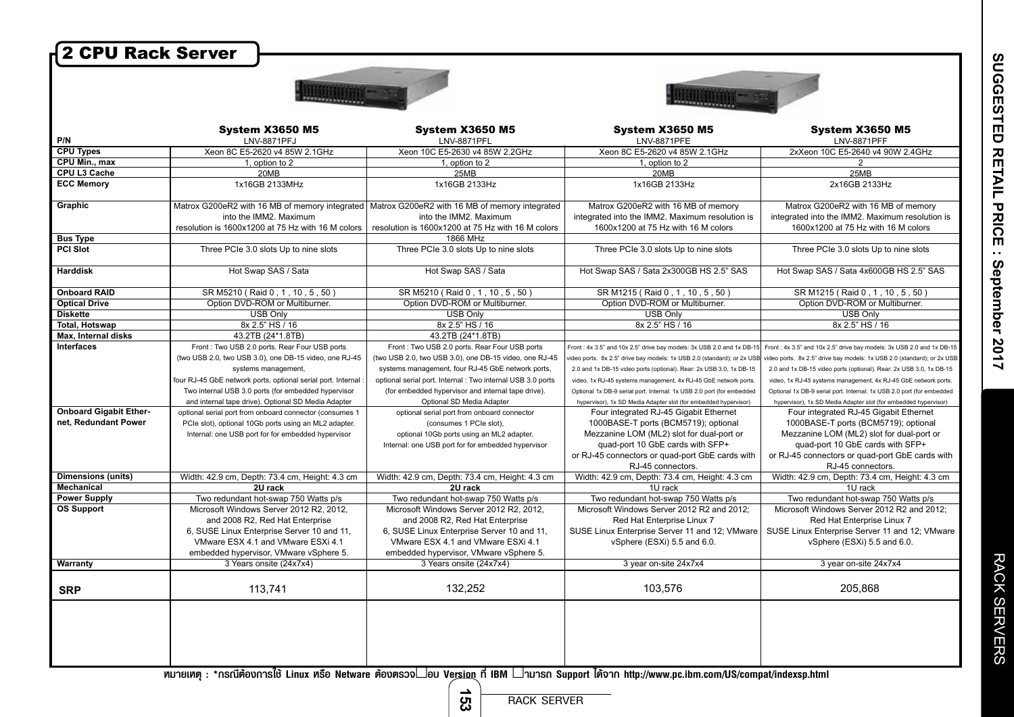| 2 CPU Rack Server             |                                                              |                                                                                                 |                                                                               |                                                                               |
|-------------------------------|--------------------------------------------------------------|-------------------------------------------------------------------------------------------------|-------------------------------------------------------------------------------|-------------------------------------------------------------------------------|
|                               |                                                              |                                                                                                 |                                                                               |                                                                               |
|                               |                                                              |                                                                                                 |                                                                               |                                                                               |
|                               |                                                              |                                                                                                 |                                                                               |                                                                               |
|                               | <b>System X3650 M5</b>                                       | <b>System X3650 M5</b>                                                                          | <b>System X3650 M5</b>                                                        | <b>System X3650 M5</b>                                                        |
| P/N                           | LNV-8871PFJ                                                  | LNV-8871PFL                                                                                     | <b>LNV-8871PFE</b>                                                            | LNV-8871PFF                                                                   |
| <b>CPU Types</b>              | Xeon 8C E5-2620 v4 85W 2.1GHz                                | Xeon 10C E5-2630 v4 85W 2.2GHz                                                                  | Xeon 8C E5-2620 v4 85W 2.1GHz                                                 | 2xXeon 10C E5-2640 v4 90W 2.4GHz                                              |
| CPU Min., max                 | 1. option to 2                                               | 1, option to 2                                                                                  | 1, option to 2                                                                | 2                                                                             |
| CPU L3 Cache                  | 20MB                                                         | 25MB                                                                                            | 20MB                                                                          | 25MB                                                                          |
| <b>ECC Memory</b>             | 1x16GB 2133MHz                                               | 1x16GB 2133Hz                                                                                   | 1x16GB 2133Hz                                                                 | 2x16GB 2133Hz                                                                 |
| Graphic                       |                                                              | Matrox G200eR2 with 16 MB of memory integrated   Matrox G200eR2 with 16 MB of memory integrated | Matrox G200eR2 with 16 MB of memory                                           | Matrox G200eR2 with 16 MB of memory                                           |
|                               | into the IMM2. Maximum                                       | into the IMM2. Maximum                                                                          | integrated into the IMM2. Maximum resolution is                               | integrated into the IMM2. Maximum resolution is                               |
|                               | resolution is 1600x1200 at 75 Hz with 16 M colors            | resolution is 1600x1200 at 75 Hz with 16 M colors                                               | 1600x1200 at 75 Hz with 16 M colors                                           | 1600x1200 at 75 Hz with 16 M colors                                           |
| <b>Bus Type</b>               |                                                              | 1866 MHz                                                                                        |                                                                               |                                                                               |
| <b>PCI Slot</b>               | Three PCIe 3.0 slots Up to nine slots                        | Three PCIe 3.0 slots Up to nine slots                                                           | Three PCIe 3.0 slots Up to nine slots                                         | Three PCIe 3.0 slots Up to nine slots                                         |
| Harddisk                      | Hot Swap SAS / Sata                                          | Hot Swap SAS / Sata                                                                             | Hot Swap SAS / Sata 2x300GB HS 2.5" SAS                                       | Hot Swap SAS / Sata 4x600GB HS 2.5" SAS                                       |
| <b>Onboard RAID</b>           | SR M5210 (Raid 0, 1, 10, 5, 50)                              | SR M5210 (Raid 0, 1, 10, 5, 50)                                                                 | SR M1215 (Raid 0, 1, 10, 5, 50)                                               | SR M1215 (Raid 0, 1, 10, 5, 50)                                               |
| <b>Optical Drive</b>          | Option DVD-ROM or Multiburner.                               | Option DVD-ROM or Multiburner.                                                                  | Option DVD-ROM or Multiburner.                                                | Option DVD-ROM or Multiburner.                                                |
| <b>Diskette</b>               | <b>USB Only</b>                                              | <b>USB Only</b>                                                                                 | <b>USB Only</b>                                                               | <b>USB Only</b>                                                               |
| <b>Total, Hotswap</b>         | 8x 2.5" HS / 16                                              | 8x 2.5" HS / 16                                                                                 | 8x 2.5" HS / 16                                                               | 8x 2.5" HS / 16                                                               |
| Max, Internal disks           | 43.2TB (24*1.8TB)                                            | 43.2TB (24*1.8TB)                                                                               |                                                                               |                                                                               |
| <b>Interfaces</b>             | Front: Two USB 2.0 ports. Rear Four USB ports                | Front: Two USB 2.0 ports. Rear Four USB ports                                                   | Front: 4x 3.5" and 10x 2.5" drive bay models: 3x USB 2.0 and 1x DB-15         | Front: 4x 3.5" and 10x 2.5" drive bay models: 3x USB 2.0 and 1x DB-15         |
|                               | (two USB 2.0, two USB 3.0), one DB-15 video, one RJ-45       | (two USB 2.0, two USB 3.0), one DB-15 video, one RJ-45                                          | video ports. 8x 2.5" drive bay models: 1x USB 2.0 (standard); or 2x USB       | video ports. 8x 2.5" drive bay models: 1x USB 2.0 (standard); or 2x USB       |
|                               | systems management,                                          | systems management, four RJ-45 GbE network ports,                                               | 2.0 and 1x DB-15 video ports (optional). Rear: 2x USB 3.0, 1x DB-15           | 2.0 and 1x DB-15 video ports (optional). Rear: 2x USB 3.0, 1x DB-15           |
|                               | four RJ-45 GbE network ports, optional serial port. Internal | optional serial port. Internal : Two internal USB 3.0 ports                                     | video, 1x RJ-45 systems management, 4x RJ-45 GbE network ports.               | video, 1x RJ-45 systems management, 4x RJ-45 GbE network ports.               |
|                               | Two internal USB 3.0 ports (for embedded hypervisor          | (for embedded hypervisor and internal tape drive).                                              | Optional 1x DB-9 serial port. Internal: 1x USB 2.0 port (for embedded         | Optional 1x DB-9 serial port. Internal: 1x USB 2.0 port (for embedded         |
| <b>Onboard Gigabit Ether-</b> | and internal tape drive). Optional SD Media Adapter          | Optional SD Media Adapter                                                                       | hypervisor), 1x SD Media Adapter slot (for embedded hypervisor)               | hypervisor), 1x SD Media Adapter slot (for embedded hypervisor)               |
| net, Redundant Power          | optional serial port from onboard connector (consumes 1      | optional serial port from onboard connector                                                     | Four integrated RJ-45 Gigabit Ethernet                                        | Four integrated RJ-45 Gigabit Ethernet                                        |
|                               | PCIe slot), optional 10Gb ports using an ML2 adapter.        | (consumes 1 PCIe slot),                                                                         | 1000BASE-T ports (BCM5719); optional                                          | 1000BASE-T ports (BCM5719); optional                                          |
|                               | Internal: one USB port for for embedded hypervisor           | optional 10Gb ports using an ML2 adapter.                                                       | Mezzanine LOM (ML2) slot for dual-port or<br>quad-port 10 GbE cards with SFP+ | Mezzanine LOM (ML2) slot for dual-port or<br>quad-port 10 GbE cards with SFP+ |
|                               |                                                              | Internal: one USB port for for embedded hypervisor                                              | or RJ-45 connectors or quad-port GbE cards with                               | or RJ-45 connectors or quad-port GbE cards with                               |
|                               |                                                              |                                                                                                 | RJ-45 connectors.                                                             | RJ-45 connectors.                                                             |
| <b>Dimensions (units)</b>     | Width: 42.9 cm, Depth: 73.4 cm, Height: 4.3 cm               | Width: 42.9 cm, Depth: 73.4 cm, Height: 4.3 cm                                                  | Width: 42.9 cm, Depth: 73.4 cm, Height: 4.3 cm                                | Width: 42.9 cm, Depth: 73.4 cm, Height: 4.3 cm                                |
| <b>Mechanical</b>             | 2U rack                                                      | 2U rack                                                                                         | 1U rack                                                                       | 1U rack                                                                       |
| <b>Power Supply</b>           | Two redundant hot-swap 750 Watts p/s                         | Two redundant hot-swap 750 Watts p/s                                                            | Two redundant hot-swap 750 Watts p/s                                          | Two redundant hot-swap 750 Watts p/s                                          |
| <b>OS Support</b>             | Microsoft Windows Server 2012 R2, 2012,                      | Microsoft Windows Server 2012 R2, 2012,                                                         | Microsoft Windows Server 2012 R2 and 2012;                                    | Microsoft Windows Server 2012 R2 and 2012;                                    |
|                               | and 2008 R2, Red Hat Enterprise                              | and 2008 R2, Red Hat Enterprise                                                                 | Red Hat Enterprise Linux 7                                                    | Red Hat Enterprise Linux 7                                                    |
|                               | 6, SUSE Linux Enterprise Server 10 and 11,                   | 6, SUSE Linux Enterprise Server 10 and 11,                                                      | SUSE Linux Enterprise Server 11 and 12; VMware                                | SUSE Linux Enterprise Server 11 and 12; VMware                                |
|                               | VMware ESX 4.1 and VMware ESXi 4.1                           | VMware ESX 4.1 and VMware ESXi 4.1                                                              | vSphere (ESXi) 5.5 and 6.0.                                                   | vSphere (ESXi) 5.5 and 6.0.                                                   |
|                               | embedded hypervisor, VMware vSphere 5.                       | embedded hypervisor, VMware vSphere 5.                                                          |                                                                               |                                                                               |
| Warranty                      | 3 Years onsite (24x7x4)                                      | 3 Years onsite (24x7x4)                                                                         | 3 year on-site 24x7x4                                                         | 3 year on-site 24x7x4                                                         |
| <b>SRP</b>                    | 113,741                                                      | 132,252                                                                                         | 103,576                                                                       | 205,868                                                                       |
|                               |                                                              |                                                                                                 |                                                                               |                                                                               |
|                               |                                                              |                                                                                                 |                                                                               |                                                                               |

<del>и</del>илеиир : \*nsณีต้องการใช้ Linux иรือ Netware ต้องตรวจ∟อบ Version ที่ IBM ∟ามารถ Support ได้จาก http://www.pc.ibm.com/US/compat/indexsp.html

**153**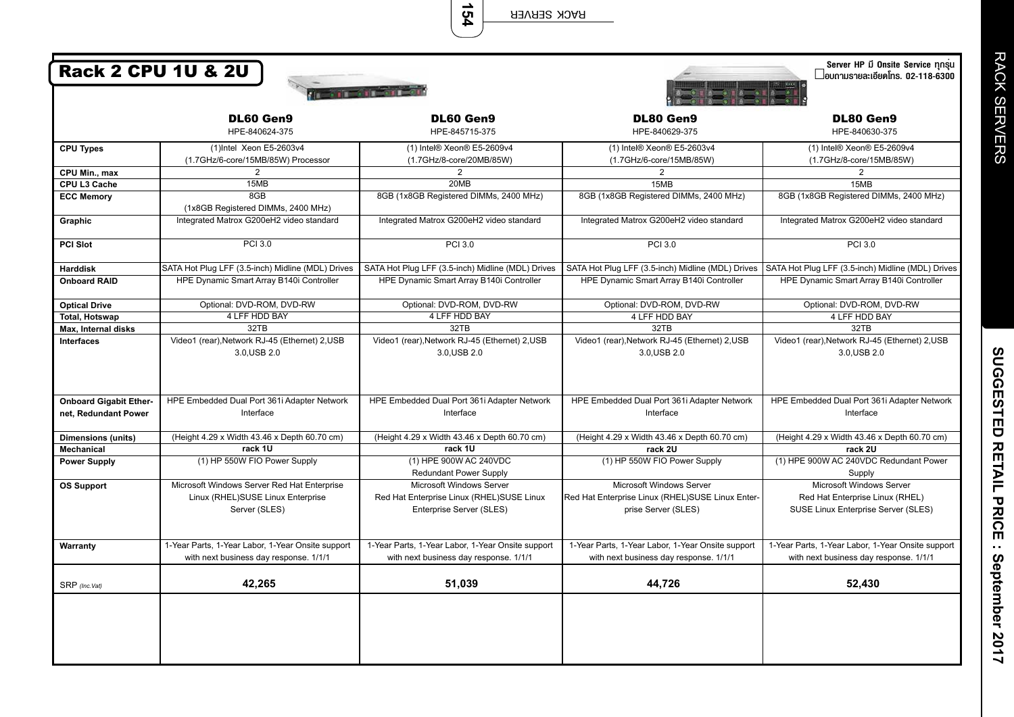**RACK SERVER** 

154

| Server HP มี Onsite Service ทุกรุน<br><b>Rack 2 CPU 1U &amp; 2U</b><br>$\Box$ อบถามรายละเอียดโทร. 02-118-6300<br>$\frac{1}{2}$ is the state $\frac{1}{2}$ |                                                                                                   |                                                                                                   |                                                                                                     |                                                                                                    |  |
|-----------------------------------------------------------------------------------------------------------------------------------------------------------|---------------------------------------------------------------------------------------------------|---------------------------------------------------------------------------------------------------|-----------------------------------------------------------------------------------------------------|----------------------------------------------------------------------------------------------------|--|
|                                                                                                                                                           | DL60 Gen9                                                                                         | <b>DL60 Gen9</b>                                                                                  | DL80 Gen9                                                                                           | <b>DL80 Gen9</b>                                                                                   |  |
|                                                                                                                                                           | HPE-840624-375                                                                                    | HPE-845715-375                                                                                    | HPE-840629-375                                                                                      | HPE-840630-375                                                                                     |  |
| <b>CPU Types</b>                                                                                                                                          | (1)Intel Xeon E5-2603v4                                                                           | (1) Intel® Xeon® E5-2609v4                                                                        | (1) Intel® Xeon® E5-2603v4                                                                          | (1) Intel® Xeon® E5-2609v4                                                                         |  |
|                                                                                                                                                           | (1.7GHz/6-core/15MB/85W) Processor                                                                | (1.7GHz/8-core/20MB/85W)                                                                          | (1.7GHz/6-core/15MB/85W)                                                                            | (1.7GHz/8-core/15MB/85W)                                                                           |  |
| CPU Min., max                                                                                                                                             | $\overline{2}$                                                                                    | $\overline{2}$                                                                                    | 2                                                                                                   |                                                                                                    |  |
| CPU L3 Cache                                                                                                                                              | 15MB                                                                                              | 20MB                                                                                              | 15MB                                                                                                | 15MB                                                                                               |  |
| <b>ECC Memory</b>                                                                                                                                         | 8GB<br>(1x8GB Registered DIMMs, 2400 MHz)                                                         | 8GB (1x8GB Registered DIMMs, 2400 MHz)                                                            | 8GB (1x8GB Registered DIMMs, 2400 MHz)                                                              | 8GB (1x8GB Registered DIMMs, 2400 MHz)                                                             |  |
| Graphic                                                                                                                                                   | Integrated Matrox G200eH2 video standard                                                          | Integrated Matrox G200eH2 video standard                                                          | Integrated Matrox G200eH2 video standard                                                            | Integrated Matrox G200eH2 video standard                                                           |  |
| <b>PCI Slot</b>                                                                                                                                           | <b>PCI 3.0</b>                                                                                    | PCI 3.0                                                                                           | <b>PCI 3.0</b>                                                                                      | <b>PCI 3.0</b>                                                                                     |  |
| <b>Harddisk</b>                                                                                                                                           | SATA Hot Plug LFF (3.5-inch) Midline (MDL) Drives                                                 | SATA Hot Plug LFF (3.5-inch) Midline (MDL) Drives                                                 | SATA Hot Pluq LFF (3.5-inch) Midline (MDL) Drives                                                   | SATA Hot Plug LFF (3.5-inch) Midline (MDL) Drives                                                  |  |
| <b>Onboard RAID</b>                                                                                                                                       | HPE Dynamic Smart Array B140i Controller                                                          | HPE Dynamic Smart Array B140i Controller                                                          | HPE Dynamic Smart Array B140i Controller                                                            | HPE Dynamic Smart Array B140i Controller                                                           |  |
| <b>Optical Drive</b>                                                                                                                                      | Optional: DVD-ROM, DVD-RW                                                                         | Optional: DVD-ROM, DVD-RW                                                                         | Optional: DVD-ROM, DVD-RW                                                                           | Optional: DVD-ROM, DVD-RW                                                                          |  |
| <b>Total, Hotswap</b>                                                                                                                                     | 4 LFF HDD BAY                                                                                     | 4 LFF HDD BAY                                                                                     | 4 LFF HDD BAY                                                                                       | 4 LFF HDD BAY                                                                                      |  |
| Max, Internal disks                                                                                                                                       | 32TB                                                                                              | 32TB                                                                                              | 32TB                                                                                                | 32TB                                                                                               |  |
| <b>Interfaces</b>                                                                                                                                         | Video1 (rear), Network RJ-45 (Ethernet) 2, USB<br>3.0, USB 2.0                                    | Video1 (rear), Network RJ-45 (Ethernet) 2, USB<br>3.0, USB 2.0                                    | Video1 (rear), Network RJ-45 (Ethernet) 2, USB<br>3.0, USB 2.0                                      | Video1 (rear), Network RJ-45 (Ethernet) 2, USB<br>3.0, USB 2.0                                     |  |
| <b>Onboard Gigabit Ether-</b><br>net, Redundant Power                                                                                                     | HPE Embedded Dual Port 361i Adapter Network<br>Interface                                          | HPE Embedded Dual Port 361i Adapter Network<br>Interface                                          | HPE Embedded Dual Port 361i Adapter Network<br>Interface                                            | HPE Embedded Dual Port 361i Adapter Network<br>Interface                                           |  |
| <b>Dimensions (units)</b>                                                                                                                                 | (Height 4.29 x Width 43.46 x Depth 60.70 cm)                                                      | (Height 4.29 x Width 43.46 x Depth 60.70 cm)                                                      | (Height 4.29 x Width 43.46 x Depth 60.70 cm)                                                        | (Height 4.29 x Width 43.46 x Depth 60.70 cm)                                                       |  |
| <b>Mechanical</b>                                                                                                                                         | rack 1U                                                                                           | rack 1U                                                                                           | rack 2U                                                                                             | rack 2U                                                                                            |  |
| <b>Power Supply</b>                                                                                                                                       | (1) HP 550W FIO Power Supply                                                                      | (1) HPE 900W AC 240VDC<br><b>Redundant Power Supply</b>                                           | (1) HP 550W FIO Power Supply                                                                        | (1) HPE 900W AC 240VDC Redundant Power<br>Supply                                                   |  |
| <b>OS Support</b>                                                                                                                                         | Microsoft Windows Server Red Hat Enterprise<br>Linux (RHEL)SUSE Linux Enterprise<br>Server (SLES) | Microsoft Windows Server<br>Red Hat Enterprise Linux (RHEL)SUSE Linux<br>Enterprise Server (SLES) | Microsoft Windows Server<br>Red Hat Enterprise Linux (RHEL)SUSE Linux Enter-<br>prise Server (SLES) | Microsoft Windows Server<br>Red Hat Enterprise Linux (RHEL)<br>SUSE Linux Enterprise Server (SLES) |  |
| Warranty                                                                                                                                                  | 1-Year Parts, 1-Year Labor, 1-Year Onsite support<br>with next business day response. 1/1/1       | 1-Year Parts, 1-Year Labor, 1-Year Onsite support<br>with next business day response. 1/1/1       | 1-Year Parts, 1-Year Labor, 1-Year Onsite support<br>with next business day response. 1/1/1         | 1-Year Parts, 1-Year Labor, 1-Year Onsite support<br>with next business day response. 1/1/1        |  |
| SRP (Inc.Vat)                                                                                                                                             | 42,265                                                                                            | 51.039                                                                                            | 44,726                                                                                              | 52,430                                                                                             |  |
|                                                                                                                                                           |                                                                                                   |                                                                                                   |                                                                                                     |                                                                                                    |  |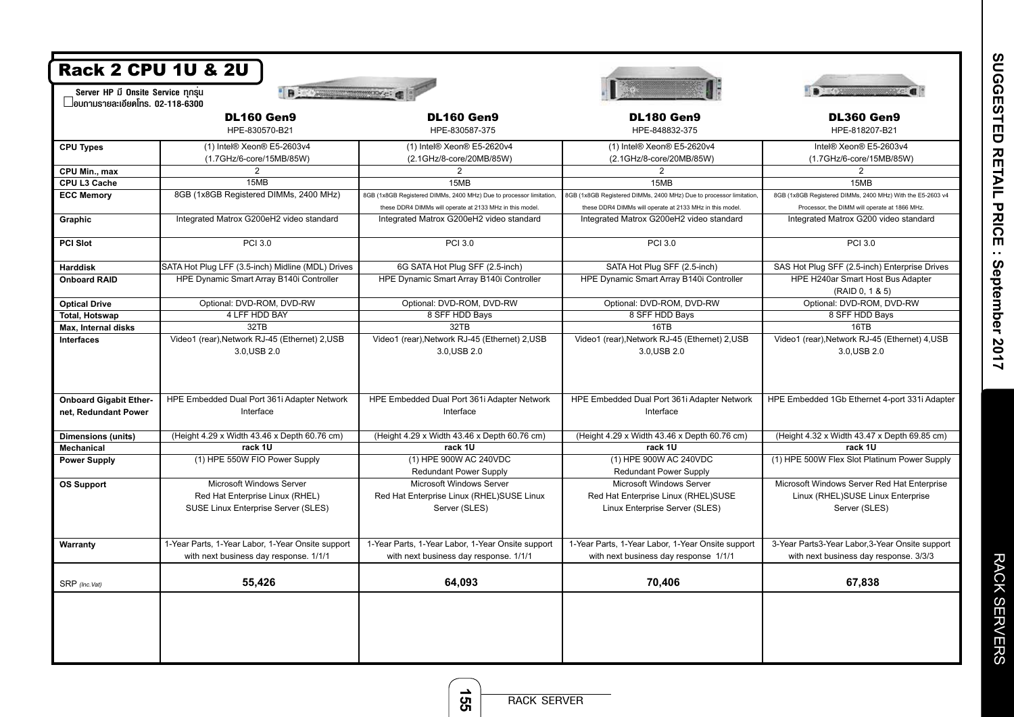| <b>Rack 2 CPU 1U &amp; 2U</b>                                                                           |                                                                                                    |                                                                                             |                                                                                                   |                                                                                                   |  |  |
|---------------------------------------------------------------------------------------------------------|----------------------------------------------------------------------------------------------------|---------------------------------------------------------------------------------------------|---------------------------------------------------------------------------------------------------|---------------------------------------------------------------------------------------------------|--|--|
| Server HP มี Onsite Service ทุกรุ่น<br>" Bis Wasserstown of a<br>$\Box$ อบถามรายละเอียดโทร. 02-118-6300 |                                                                                                    |                                                                                             |                                                                                                   |                                                                                                   |  |  |
|                                                                                                         | <b>DL160 Gen9</b><br>HPE-830570-B21                                                                | <b>DL160 Gen9</b><br>HPE-830587-375                                                         | <b>DL180 Gen9</b><br>HPE-848832-375                                                               | <b>DL360 Gen9</b><br>HPE-818207-B21                                                               |  |  |
| <b>CPU Types</b>                                                                                        | (1) Intel® Xeon® E5-2603v4<br>(1.7GHz/6-core/15MB/85W)                                             | (1) Intel® Xeon® E5-2620v4<br>(2.1GHz/8-core/20MB/85W)                                      | (1) Intel® Xeon® E5-2620v4<br>(2.1GHz/8-core/20MB/85W)                                            | Intel® Xeon® E5-2603v4<br>(1.7GHz/6-core/15MB/85W)                                                |  |  |
| CPU Min., max                                                                                           | $\overline{2}$                                                                                     | 2                                                                                           | $\overline{2}$                                                                                    | $\overline{2}$                                                                                    |  |  |
| CPU L3 Cache                                                                                            | 15MB                                                                                               | 15MB                                                                                        | 15MB                                                                                              | 15MB                                                                                              |  |  |
| <b>ECC Memory</b>                                                                                       | 8GB (1x8GB Registered DIMMs, 2400 MHz)                                                             | 8GB (1x8GB Registered DIMMs, 2400 MHz) Due to processor limitation,                         | 8GB (1x8GB Registered DIMMs, 2400 MHz) Due to processor limitation,                               | 8GB (1x8GB Registered DIMMs, 2400 MHz) With the E5-2603 v4                                        |  |  |
|                                                                                                         |                                                                                                    | these DDR4 DIMMs will operate at 2133 MHz in this model.                                    | these DDR4 DIMMs will operate at 2133 MHz in this model.                                          | Processor, the DIMM will operate at 1866 MHz.                                                     |  |  |
| Graphic                                                                                                 | Integrated Matrox G200eH2 video standard                                                           | Integrated Matrox G200eH2 video standard                                                    | Integrated Matrox G200eH2 video standard                                                          | Integrated Matrox G200 video standard                                                             |  |  |
| <b>PCI Slot</b>                                                                                         | <b>PCI 3.0</b>                                                                                     | <b>PCI 3.0</b>                                                                              | <b>PCI 3.0</b>                                                                                    | <b>PCI 3.0</b>                                                                                    |  |  |
| <b>Harddisk</b>                                                                                         | SATA Hot Plug LFF (3.5-inch) Midline (MDL) Drives                                                  | 6G SATA Hot Plug SFF (2.5-inch)                                                             | SATA Hot Plug SFF (2.5-inch)                                                                      | SAS Hot Plug SFF (2.5-inch) Enterprise Drives                                                     |  |  |
| <b>Onboard RAID</b>                                                                                     | HPE Dynamic Smart Array B140i Controller                                                           | HPE Dynamic Smart Array B140i Controller                                                    | HPE Dynamic Smart Array B140i Controller                                                          | HPE H240ar Smart Host Bus Adapter                                                                 |  |  |
|                                                                                                         |                                                                                                    |                                                                                             |                                                                                                   | (RAID 0, 1 & 5)                                                                                   |  |  |
| <b>Optical Drive</b>                                                                                    | Optional: DVD-ROM, DVD-RW                                                                          | Optional: DVD-ROM, DVD-RW                                                                   | Optional: DVD-ROM, DVD-RW                                                                         | Optional: DVD-ROM, DVD-RW                                                                         |  |  |
| <b>Total, Hotswap</b>                                                                                   | 4 LFF HDD BAY                                                                                      | 8 SFF HDD Bays                                                                              | 8 SFF HDD Bays                                                                                    | 8 SFF HDD Bays                                                                                    |  |  |
| Max, Internal disks                                                                                     | 32TB                                                                                               | 32TB                                                                                        | 16TB                                                                                              | 16TB                                                                                              |  |  |
| <b>Interfaces</b>                                                                                       | Video1 (rear), Network RJ-45 (Ethernet) 2, USB<br>3.0.USB 2.0                                      | Video1 (rear), Network RJ-45 (Ethernet) 2, USB<br>3.0, USB 2.0                              | Video1 (rear), Network RJ-45 (Ethernet) 2, USB<br>3.0, USB 2.0                                    | Video1 (rear), Network RJ-45 (Ethernet) 4, USB<br>3.0, USB 2.0                                    |  |  |
| <b>Onboard Gigabit Ether-</b><br>net, Redundant Power                                                   | HPE Embedded Dual Port 361i Adapter Network<br>Interface                                           | HPE Embedded Dual Port 361i Adapter Network<br>Interface                                    | HPE Embedded Dual Port 361i Adapter Network<br>Interface                                          | HPE Embedded 1Gb Ethernet 4-port 331i Adapter                                                     |  |  |
| <b>Dimensions (units)</b>                                                                               | (Height 4.29 x Width 43.46 x Depth 60.76 cm)                                                       | (Height 4.29 x Width 43.46 x Depth 60.76 cm)                                                | (Height 4.29 x Width 43.46 x Depth 60.76 cm)                                                      | (Height 4.32 x Width 43.47 x Depth 69.85 cm)                                                      |  |  |
| Mechanical                                                                                              | rack 1U                                                                                            | rack 1U                                                                                     | rack 1U                                                                                           | rack 1U                                                                                           |  |  |
| <b>Power Supply</b>                                                                                     | (1) HPE 550W FIO Power Supply                                                                      | (1) HPE 900W AC 240VDC                                                                      | (1) HPE 900W AC 240VDC                                                                            | (1) HPE 500W Flex Slot Platinum Power Supply                                                      |  |  |
|                                                                                                         |                                                                                                    | <b>Redundant Power Supply</b>                                                               | <b>Redundant Power Supply</b>                                                                     |                                                                                                   |  |  |
| <b>OS Support</b>                                                                                       | Microsoft Windows Server<br>Red Hat Enterprise Linux (RHEL)<br>SUSE Linux Enterprise Server (SLES) | Microsoft Windows Server<br>Red Hat Enterprise Linux (RHEL)SUSE Linux<br>Server (SLES)      | Microsoft Windows Server<br>Red Hat Enterprise Linux (RHEL)SUSE<br>Linux Enterprise Server (SLES) | Microsoft Windows Server Red Hat Enterprise<br>Linux (RHEL)SUSE Linux Enterprise<br>Server (SLES) |  |  |
| Warranty                                                                                                | 1-Year Parts, 1-Year Labor, 1-Year Onsite support<br>with next business day response. 1/1/1        | 1-Year Parts, 1-Year Labor, 1-Year Onsite support<br>with next business day response. 1/1/1 | 1-Year Parts, 1-Year Labor, 1-Year Onsite support<br>with next business day response 1/1/1        | 3-Year Parts3-Year Labor,3-Year Onsite support<br>with next business day response. 3/3/3          |  |  |
| SRP (Inc.Vat)                                                                                           | 55,426                                                                                             | 64,093                                                                                      | 70,406                                                                                            | 67,838                                                                                            |  |  |
|                                                                                                         |                                                                                                    |                                                                                             |                                                                                                   |                                                                                                   |  |  |